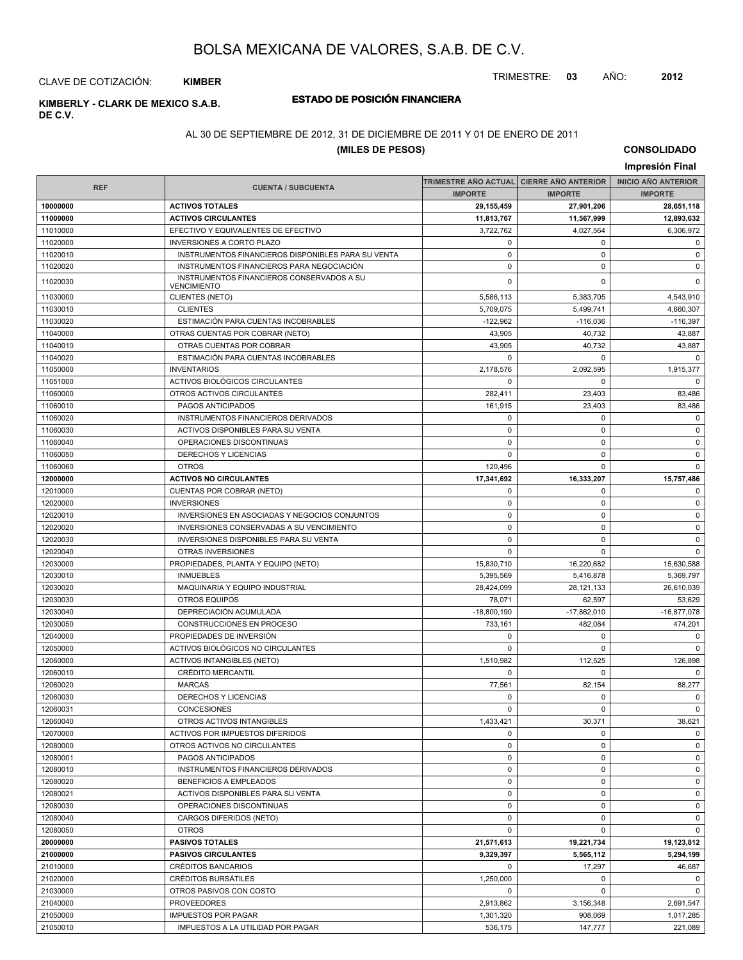TRIMESTRE: **03** AÑO: **2012**

#### CLAVE DE COTIZACIÓN: **KIMBER**

# **DE C.V.**

# **ESTADO DE POSICIÓN FINANCIERA KIMBERLY - CLARK DE MEXICO S.A.B.**

### AL 30 DE SEPTIEMBRE DE 2012, 31 DE DICIEMBRE DE 2011 Y 01 DE ENERO DE 2011

### **(MILES DE PESOS)**

**CONSOLIDADO**

|            |                                                                 |                                          |                | Impresión Final            |
|------------|-----------------------------------------------------------------|------------------------------------------|----------------|----------------------------|
|            |                                                                 | TRIMESTRE AÑO ACTUAL CIERRE AÑO ANTERIOR |                | <b>INICIO AÑO ANTERIOR</b> |
| <b>REF</b> | <b>CUENTA / SUBCUENTA</b>                                       | <b>IMPORTE</b>                           | <b>IMPORTE</b> | <b>IMPORTE</b>             |
| 10000000   | <b>ACTIVOS TOTALES</b>                                          | 29,155,459                               | 27,901,206     | 28,651,118                 |
| 11000000   | <b>ACTIVOS CIRCULANTES</b>                                      | 11,813,767                               | 11,567,999     | 12,893,632                 |
| 11010000   | EFECTIVO Y EQUIVALENTES DE EFECTIVO                             | 3,722,762                                | 4,027,564      | 6,306,972                  |
| 11020000   | <b>INVERSIONES A CORTO PLAZO</b>                                | 0                                        | 0              | $\mathbf 0$                |
| 11020010   | INSTRUMENTOS FINANCIEROS DISPONIBLES PARA SU VENTA              | $\pmb{0}$                                | 0              | $\mathbf 0$                |
| 11020020   | INSTRUMENTOS FINANCIEROS PARA NEGOCIACIÓN                       | $\pmb{0}$                                | 0              | 0                          |
| 11020030   | INSTRUMENTOS FINANCIEROS CONSERVADOS A SU<br><b>VENCIMIENTO</b> | 0                                        | 0              | $\mathbf 0$                |
| 11030000   | <b>CLIENTES (NETO)</b>                                          | 5,586,113                                | 5.383.705      | 4.543.910                  |
| 11030010   | <b>CLIENTES</b>                                                 | 5,709,075                                | 5,499,741      | 4,660,307                  |
| 11030020   | ESTIMACIÓN PARA CUENTAS INCOBRABLES                             | $-122,962$                               | $-116,036$     | $-116,397$                 |
| 11040000   | OTRAS CUENTAS POR COBRAR (NETO)                                 | 43,905                                   | 40,732         | 43,887                     |
| 11040010   | OTRAS CUENTAS POR COBRAR                                        | 43,905                                   | 40,732         | 43,887                     |
| 11040020   | ESTIMACIÓN PARA CUENTAS INCOBRABLES                             | 0                                        | $\mathbf 0$    | 0                          |
| 11050000   | <b>INVENTARIOS</b>                                              | 2,178,576                                | 2,092,595      | 1,915,377                  |
| 11051000   | ACTIVOS BIOLÓGICOS CIRCULANTES                                  | 0                                        | 0              | $\mathbf 0$                |
| 11060000   | OTROS ACTIVOS CIRCULANTES                                       | 282,411                                  | 23,403         | 83,486                     |
| 11060010   | PAGOS ANTICIPADOS                                               | 161.915                                  | 23,403         | 83,486                     |
| 11060020   | INSTRUMENTOS FINANCIEROS DERIVADOS                              | 0                                        | 0              | 0                          |
| 11060030   | <b>ACTIVOS DISPONIBLES PARA SU VENTA</b>                        | $\pmb{0}$                                | 0              | $\pmb{0}$                  |
| 11060040   | OPERACIONES DISCONTINUAS                                        | $\pmb{0}$                                | $\mathbf 0$    | $\mathbf 0$                |
| 11060050   | <b>DERECHOS Y LICENCIAS</b>                                     | 0                                        | 0              | 0                          |
| 11060060   | <b>OTROS</b>                                                    | 120,496                                  | $\mathbf 0$    | $\mathsf 0$                |
| 12000000   | <b>ACTIVOS NO CIRCULANTES</b>                                   | 17,341,692                               | 16,333,207     | 15,757,486                 |
| 12010000   | CUENTAS POR COBRAR (NETO)                                       | 0                                        | 0              | 0                          |
| 12020000   | <b>INVERSIONES</b>                                              | $\pmb{0}$                                | 0              | $\pmb{0}$                  |
| 12020010   | INVERSIONES EN ASOCIADAS Y NEGOCIOS CONJUNTOS                   | $\mathbf 0$                              | $\mathbf 0$    | 0                          |
| 12020020   | INVERSIONES CONSERVADAS A SU VENCIMIENTO                        | $\mathbf 0$                              | $\mathbf 0$    | 0                          |
| 12020030   | <b>INVERSIONES DISPONIBLES PARA SU VENTA</b>                    | 0                                        | 0              | $\mathsf 0$                |
| 12020040   | OTRAS INVERSIONES                                               | $\Omega$                                 | $\mathbf 0$    | $\mathbf 0$                |
| 12030000   | PROPIEDADES, PLANTA Y EQUIPO (NETO)                             | 15,830,710                               | 16,220,682     | 15,630,588                 |
| 12030010   | <b>INMUEBLES</b>                                                | 5,395,569                                | 5,416,878      | 5,369,797                  |
| 12030020   | MAQUINARIA Y EQUIPO INDUSTRIAL                                  | 28,424,099                               | 28,121,133     | 26,610,039                 |
| 12030030   | <b>OTROS EQUIPOS</b>                                            | 78,071                                   | 62,597         | 53,629                     |
| 12030040   | DEPRECIACIÓN ACUMULADA                                          | $-18,800,190$                            | $-17,862,010$  | $-16,877,078$              |
| 12030050   | CONSTRUCCIONES EN PROCESO                                       | 733,161                                  | 482,084        | 474,201                    |
| 12040000   | PROPIEDADES DE INVERSIÓN                                        | 0                                        | 0              | 0                          |
| 12050000   | ACTIVOS BIOLÓGICOS NO CIRCULANTES                               | $\pmb{0}$                                | 0              | $\mathbf 0$                |
| 12060000   | <b>ACTIVOS INTANGIBLES (NETO)</b>                               | 1,510,982                                | 112,525        | 126,898                    |
| 12060010   | CRÉDITO MERCANTIL                                               | 0                                        | 0              | $\mathbf 0$                |
| 12060020   | <b>MARCAS</b>                                                   | 77,561                                   | 82,154         | 88,277                     |
| 12060030   | DERECHOS Y LICENCIAS                                            | $\mathbf 0$                              | $\mathbf 0$    | $\mathbf 0$                |
| 12060031   | <b>CONCESIONES</b>                                              | 0                                        | 0              | $\mathbf 0$                |
| 12060040   | OTROS ACTIVOS INTANGIBLES                                       | 1,433,421                                | 30,371         | 38,621                     |
| 12070000   | ACTIVOS POR IMPUESTOS DIFERIDOS                                 | 0                                        | 0              | $\mathbf 0$                |
| 12080000   | OTROS ACTIVOS NO CIRCULANTES                                    | 0                                        | 0              | $\mathbf 0$                |
| 12080001   | PAGOS ANTICIPADOS                                               | 0                                        | 0              | 0                          |
| 12080010   | INSTRUMENTOS FINANCIEROS DERIVADOS                              | 0                                        | $\mathbf 0$    | $\mathbf 0$                |
| 12080020   | BENEFICIOS A EMPLEADOS                                          | 0                                        | 0              | 0                          |
| 12080021   | <b>ACTIVOS DISPONIBLES PARA SU VENTA</b>                        | 0                                        | 0              | 0                          |
| 12080030   | OPERACIONES DISCONTINUAS                                        | 0                                        | $\mathbf 0$    | $\mathbf 0$                |
| 12080040   | CARGOS DIFERIDOS (NETO)                                         | 0                                        | 0              | 0                          |
| 12080050   | <b>OTROS</b>                                                    | 0                                        | $\mathbf 0$    | 0                          |
| 20000000   | <b>PASIVOS TOTALES</b>                                          | 21,571,613                               | 19,221,734     | 19,123,812                 |
| 21000000   | <b>PASIVOS CIRCULANTES</b>                                      | 9,329,397                                | 5,565,112      | 5,294,199                  |
| 21010000   | CRÉDITOS BANCARIOS                                              | 0                                        | 17,297         | 46,687                     |
| 21020000   | CRÉDITOS BURSÁTILES                                             | 1,250,000                                | 0              | $\mathbf 0$                |
| 21030000   | OTROS PASIVOS CON COSTO                                         | 0                                        | 0              | $\mathbf 0$                |
| 21040000   | <b>PROVEEDORES</b>                                              | 2,913,862                                | 3,156,348      | 2,691,547                  |
| 21050000   | <b>IMPUESTOS POR PAGAR</b>                                      | 1,301,320                                | 908,069        | 1,017,285                  |
| 21050010   | IMPUESTOS A LA UTILIDAD POR PAGAR                               | 536,175                                  | 147,777        | 221,089                    |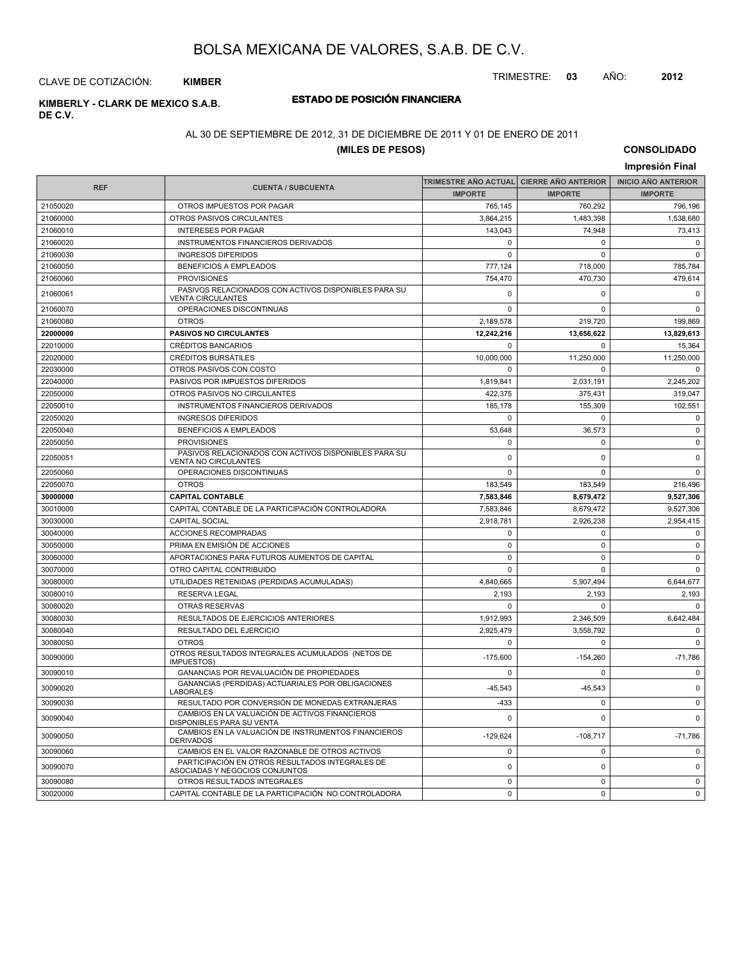TRIMESTRE: **03** AÑO: **2012**

CLAVE DE COTIZACIÓN: **KIMBER**

**DE C.V.**

# **ESTADO DE POSICIÓN FINANCIERA KIMBERLY - CLARK DE MEXICO S.A.B.**

#### AL 30 DE SEPTIEMBRE DE 2012, 31 DE DICIEMBRE DE 2011 Y 01 DE ENERO DE 2011

#### **(MILES DE PESOS)**

**CONSOLIDADO Impresión Final**

|            |                                                                                     | TRIMESTRE AÑO ACTUAL CIERRE AÑO ANTERIOR |                | <b>INICIO AÑO ANTERIOR</b> |
|------------|-------------------------------------------------------------------------------------|------------------------------------------|----------------|----------------------------|
| <b>REF</b> | <b>CUENTA / SUBCUENTA</b>                                                           | <b>IMPORTE</b>                           | <b>IMPORTE</b> | <b>IMPORTE</b>             |
| 21050020   | OTROS IMPUESTOS POR PAGAR                                                           | 765,145                                  | 760,292        | 796,196                    |
| 21060000   | OTROS PASIVOS CIRCULANTES                                                           | 3,864,215                                | 1,483,398      | 1,538,680                  |
| 21060010   | <b>INTERESES POR PAGAR</b>                                                          | 143,043                                  | 74,948         | 73,413                     |
| 21060020   | <b>INSTRUMENTOS FINANCIEROS DERIVADOS</b>                                           | $\mathbf 0$                              | $\Omega$       | $\mathbf 0$                |
| 21060030   | <b>INGRESOS DIFERIDOS</b>                                                           | $\mathbf 0$                              | $\Omega$       | $\mathbf 0$                |
| 21060050   | <b>BENEFICIOS A EMPLEADOS</b>                                                       | 777,124                                  | 718,000        | 785,784                    |
| 21060060   | <b>PROVISIONES</b>                                                                  | 754,470                                  | 470,730        | 479,614                    |
| 21060061   | PASIVOS RELACIONADOS CON ACTIVOS DISPONIBLES PARA SU<br><b>VENTA CIRCULANTES</b>    | $\mathbf 0$                              | 0              | $\mathbf 0$                |
| 21060070   | OPERACIONES DISCONTINUAS                                                            | $\mathbf 0$                              | 0              | $\mathbf 0$                |
| 21060080   | <b>OTROS</b>                                                                        | 2,189,578                                | 219,720        | 199,869                    |
| 22000000   | PASIVOS NO CIRCULANTES                                                              | 12,242,216                               | 13,656,622     | 13,829,613                 |
| 22010000   | CRÉDITOS BANCARIOS                                                                  | $\mathsf 0$                              | 0              | 15,364                     |
| 22020000   | <b>CRÉDITOS BURSÁTILES</b>                                                          | 10,000,000                               | 11,250,000     | 11,250,000                 |
| 22030000   | OTROS PASIVOS CON COSTO                                                             | $\Omega$                                 | $\Omega$       | $\Omega$                   |
| 22040000   | PASIVOS POR IMPUESTOS DIFERIDOS                                                     | 1,819,841                                | 2,031,191      | 2,245,202                  |
| 22050000   | OTROS PASIVOS NO CIRCULANTES                                                        | 422,375                                  | 375,431        | 319.047                    |
| 22050010   | INSTRUMENTOS FINANCIEROS DERIVADOS                                                  | 185,178                                  | 155,309        | 102,551                    |
| 22050020   | <b>INGRESOS DIFERIDOS</b>                                                           | $\Omega$                                 | $\Omega$       | $\Omega$                   |
| 22050040   | <b>BENEFICIOS A EMPLEADOS</b>                                                       | 53,648                                   | 36,573         | $\mathbf 0$                |
| 22050050   | <b>PROVISIONES</b>                                                                  | $\mathbf 0$                              | 0              | $\mathbf 0$                |
| 22050051   | PASIVOS RELACIONADOS CON ACTIVOS DISPONIBLES PARA SU<br><b>VENTA NO CIRCULANTES</b> | $\mathbf 0$                              | 0              | $\pmb{0}$                  |
| 22050060   | OPERACIONES DISCONTINUAS                                                            | $\Omega$                                 | $\Omega$       | $\mathbf 0$                |
| 22050070   | <b>OTROS</b>                                                                        | 183.549                                  | 183,549        | 216,496                    |
| 30000000   | <b>CAPITAL CONTABLE</b>                                                             | 7,583,846                                | 8,679,472      | 9,527,306                  |
| 30010000   | CAPITAL CONTABLE DE LA PARTICIPACIÓN CONTROLADORA                                   | 7,583,846                                | 8,679,472      | 9,527,306                  |
| 30030000   | <b>CAPITAL SOCIAL</b>                                                               | 2,918,781                                | 2,926,238      | 2,954,415                  |
| 30040000   | <b>ACCIONES RECOMPRADAS</b>                                                         | $\mathbf 0$                              | $\mathbf 0$    | $\mathbf 0$                |
| 30050000   | PRIMA EN EMISIÓN DE ACCIONES                                                        | $\mathbf{0}$                             | 0              | $\mathbf 0$                |
| 30060000   | APORTACIONES PARA FUTUROS AUMENTOS DE CAPITAL                                       | $\mathbf 0$                              | $\mathbf 0$    | $\mathbf 0$                |
| 30070000   | OTRO CAPITAL CONTRIBUIDO                                                            | $\mathbf 0$                              | $\Omega$       | $\mathsf 0$                |
| 30080000   | UTILIDADES RETENIDAS (PERDIDAS ACUMULADAS)                                          | 4,840,665                                | 5,907,494      | 6,644,677                  |
| 30080010   | <b>RESERVA LEGAL</b>                                                                | 2,193                                    | 2,193          | 2,193                      |
| 30080020   | <b>OTRAS RESERVAS</b>                                                               | $\mathbf 0$                              | $\Omega$       | $\Omega$                   |
| 30080030   | <b>RESULTADOS DE EJERCICIOS ANTERIORES</b>                                          | 1,912,993                                | 2,346,509      | 6.642.484                  |
| 30080040   | RESULTADO DEL EJERCICIO                                                             | 2,925,479                                | 3,558,792      | $\mathbf 0$                |
| 30080050   | <b>OTROS</b>                                                                        | $\mathbf 0$                              | 0              | $\mathbf 0$                |
| 30090000   | OTROS RESULTADOS INTEGRALES ACUMULADOS (NETOS DE<br><b>IMPUESTOS)</b>               | $-175,600$                               | $-154,260$     | $-71,786$                  |
| 30090010   | GANANCIAS POR REVALUACIÓN DE PROPIEDADES                                            | $\mathbf 0$                              | $\Omega$       | $\mathbf 0$                |
| 30090020   | GANANCIAS (PERDIDAS) ACTUARIALES POR OBLIGACIONES<br><b>LABORALES</b>               | $-45,543$                                | $-45,543$      | $\mathbf 0$                |
| 30090030   | RESULTADO POR CONVERSIÓN DE MONEDAS EXTRANJERAS                                     | $-433$                                   | 0              | $\mathbf 0$                |
| 30090040   | CAMBIOS EN LA VALUACIÓN DE ACTIVOS FINANCIEROS<br>DISPONIBLES PARA SU VENTA         | $\mathbf 0$                              | $\Omega$       | $\mathbf 0$                |
| 30090050   | CAMBIOS EN LA VALUACIÓN DE INSTRUMENTOS FINANCIEROS<br><b>DERIVADOS</b>             | $-129,624$                               | $-108,717$     | $-71,786$                  |
| 30090060   | CAMBIOS EN EL VALOR RAZONABLE DE OTROS ACTIVOS                                      | $\mathsf 0$                              | 0              | 0                          |
| 30090070   | PARTICIPACIÓN EN OTROS RESULTADOS INTEGRALES DE<br>ASOCIADAS Y NEGOCIOS CONJUNTOS   | $\pmb{0}$                                | 0              | $\mathbf 0$                |
| 30090080   | OTROS RESULTADOS INTEGRALES                                                         | $\Omega$                                 | $\mathbf 0$    | $\mathbf 0$                |
| 30020000   | CAPITAL CONTABLE DE LA PARTICIPACIÓN NO CONTROLADORA                                | $\mathbf 0$                              | $\mathbf 0$    | $\mathbf 0$                |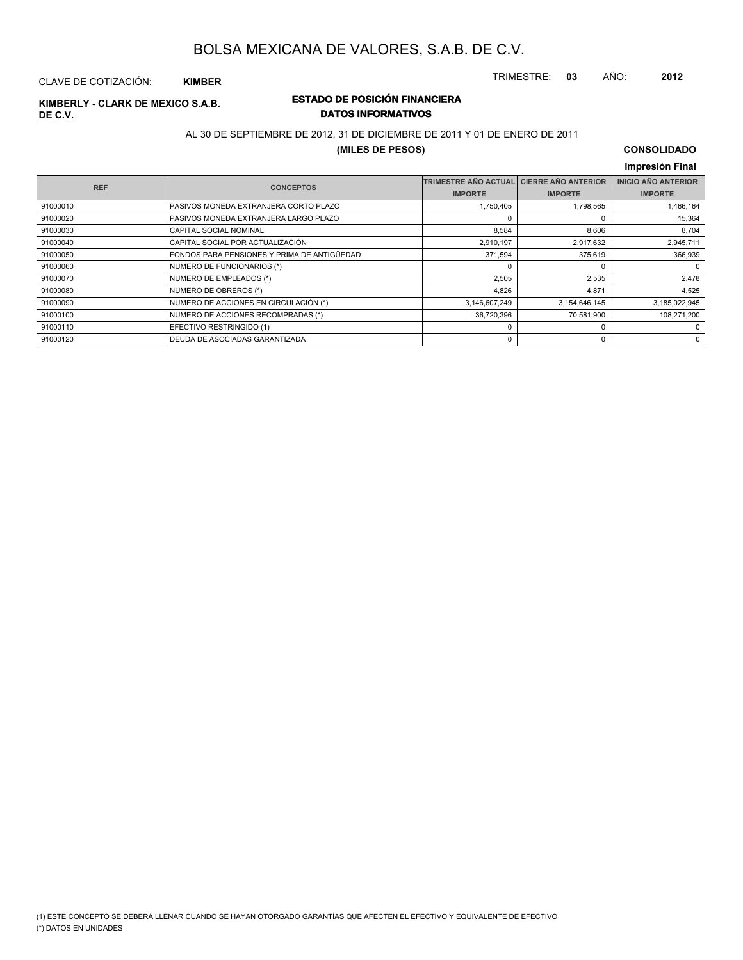TRIMESTRE: **03** AÑO: **2012**

#### CLAVE DE COTIZACIÓN: **KIMBER**

# **DE C.V.**

### **ESTADO DE POSICIÓN FINANCIERA KIMBERLY - CLARK DE MEXICO S.A.B. DATOS INFORMATIVOS**

#### AL 30 DE SEPTIEMBRE DE 2012, 31 DE DICIEMBRE DE 2011 Y 01 DE ENERO DE 2011

#### **(MILES DE PESOS)**

### **CONSOLIDADO**

|            |                                             |                             |                            | Impresión Final            |
|------------|---------------------------------------------|-----------------------------|----------------------------|----------------------------|
| <b>REF</b> | <b>CONCEPTOS</b>                            | <b>TRIMESTRE AÑO ACTUAL</b> | <b>CIERRE AÑO ANTERIOR</b> | <b>INICIO AÑO ANTERIOR</b> |
|            |                                             | <b>IMPORTE</b>              | <b>IMPORTE</b>             | <b>IMPORTE</b>             |
| 91000010   | PASIVOS MONEDA EXTRANJERA CORTO PLAZO       | 1,750,405                   | 1,798,565                  | 1,466,164                  |
| 91000020   | PASIVOS MONEDA EXTRANJERA LARGO PLAZO       | $\Omega$                    | 0                          | 15,364                     |
| 91000030   | CAPITAL SOCIAL NOMINAL                      | 8,584                       | 8,606                      | 8,704                      |
| 91000040   | CAPITAL SOCIAL POR ACTUALIZACIÓN            | 2,910,197                   | 2,917,632                  | 2,945,711                  |
| 91000050   | FONDOS PARA PENSIONES Y PRIMA DE ANTIGÜEDAD | 371,594                     | 375,619                    | 366,939                    |
| 91000060   | NUMERO DE FUNCIONARIOS (*)                  | $\Omega$                    | 0                          | 0                          |
| 91000070   | NUMERO DE EMPLEADOS (*)                     | 2,505                       | 2,535                      | 2,478                      |
| 91000080   | NUMERO DE OBREROS (*)                       | 4,826                       | 4,871                      | 4,525                      |
| 91000090   | NUMERO DE ACCIONES EN CIRCULACIÓN (*)       | 3,146,607,249               | 3,154,646,145              | 3,185,022,945              |
| 91000100   | NUMERO DE ACCIONES RECOMPRADAS (*)          | 36,720,396                  | 70,581,900                 | 108,271,200                |
| 91000110   | EFECTIVO RESTRINGIDO (1)                    | 0                           | 0                          | 0                          |
| 91000120   | DEUDA DE ASOCIADAS GARANTIZADA              | 0                           | 0                          | $\mathbf 0$                |

(\*) DATOS EN UNIDADES (1) ESTE CONCEPTO SE DEBERÁ LLENAR CUANDO SE HAYAN OTORGADO GARANTÍAS QUE AFECTEN EL EFECTIVO Y EQUIVALENTE DE EFECTIVO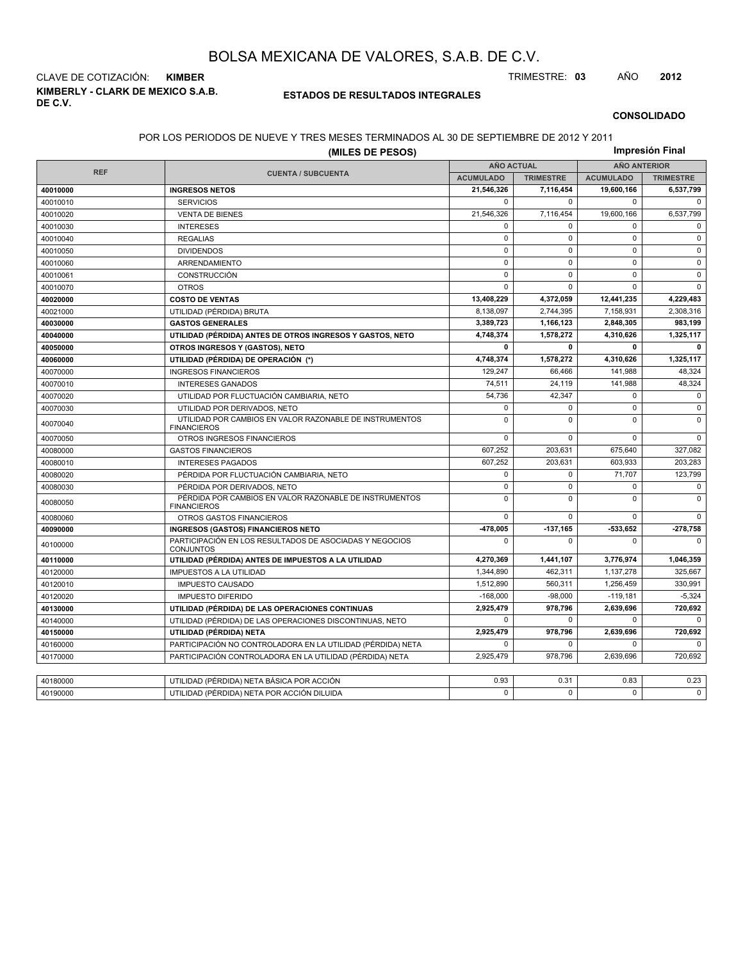**KIMBERLY - CLARK DE MEXICO S.A.B. DE C.V.** CLAVE DE COTIZACIÓN: **KIMBER** TRIMESTRE: **03** AÑO **2012**

#### **ESTADOS DE RESULTADOS INTEGRALES**

#### **CONSOLIDADO**

#### POR LOS PERIODOS DE NUEVE Y TRES MESES TERMINADOS AL 30 DE SEPTIEMBRE DE 2012 Y 2011

|            | Impresión Final                                                               |                   |                  |                     |                  |  |
|------------|-------------------------------------------------------------------------------|-------------------|------------------|---------------------|------------------|--|
| <b>REF</b> |                                                                               | <b>AÑO ACTUAL</b> |                  | <b>AÑO ANTERIOR</b> |                  |  |
|            | <b>CUENTA / SUBCUENTA</b>                                                     | <b>ACUMULADO</b>  | <b>TRIMESTRE</b> | <b>ACUMULADO</b>    | <b>TRIMESTRE</b> |  |
| 40010000   | <b>INGRESOS NETOS</b>                                                         | 21,546,326        | 7,116,454        | 19,600,166          | 6,537,799        |  |
| 40010010   | <b>SERVICIOS</b>                                                              | 0                 | $\Omega$         | $\mathbf 0$         | $\Omega$         |  |
| 40010020   | <b>VENTA DE BIENES</b>                                                        | 21,546,326        | 7,116,454        | 19,600,166          | 6,537,799        |  |
| 40010030   | <b>INTERESES</b>                                                              | 0                 | $\Omega$         | $\mathbf 0$         | $\Omega$         |  |
| 40010040   | <b>REGALIAS</b>                                                               | $\mathsf 0$       | $\mathbf 0$      | $\mathbf 0$         | $\mathbf 0$      |  |
| 40010050   | <b>DIVIDENDOS</b>                                                             | $\Omega$          | $\Omega$         | $\Omega$            | $\Omega$         |  |
| 40010060   | ARRENDAMIENTO                                                                 | $\mathbf 0$       | 0                | $\mathbf 0$         | $\mathbf 0$      |  |
| 40010061   | CONSTRUCCIÓN                                                                  | 0                 | $\mathbf 0$      | $\mathbf 0$         | $\mathsf 0$      |  |
| 40010070   | <b>OTROS</b>                                                                  | $\Omega$          | $\Omega$         | $\mathbf 0$         | $\Omega$         |  |
| 40020000   | <b>COSTO DE VENTAS</b>                                                        | 13,408,229        | 4,372,059        | 12,441,235          | 4,229,483        |  |
| 40021000   | UTILIDAD (PÉRDIDA) BRUTA                                                      | 8,138,097         | 2,744,395        | 7,158,931           | 2,308,316        |  |
| 40030000   | <b>GASTOS GENERALES</b>                                                       | 3,389,723         | 1,166,123        | 2,848,305           | 983,199          |  |
| 40040000   | UTILIDAD (PÉRDIDA) ANTES DE OTROS INGRESOS Y GASTOS, NETO                     | 4,748,374         | 1,578,272        | 4,310,626           | 1,325,117        |  |
| 40050000   | OTROS INGRESOS Y (GASTOS), NETO                                               | 0                 | 0                | 0                   | $\mathbf 0$      |  |
| 40060000   | UTILIDAD (PÉRDIDA) DE OPERACIÓN (*)                                           | 4,748,374         | 1,578,272        | 4,310,626           | 1,325,117        |  |
| 40070000   | <b>INGRESOS FINANCIEROS</b>                                                   | 129,247           | 66,466           | 141,988             | 48,324           |  |
| 40070010   | <b>INTERESES GANADOS</b>                                                      | 74,511            | 24,119           | 141,988             | 48,324           |  |
| 40070020   | UTILIDAD POR FLUCTUACIÓN CAMBIARIA, NETO                                      | 54,736            | 42,347           | $\mathbf 0$         | $\Omega$         |  |
| 40070030   | UTILIDAD POR DERIVADOS, NETO                                                  | 0                 | $\mathbf 0$      | $\mathbf 0$         | $\mathbf 0$      |  |
| 40070040   | UTILIDAD POR CAMBIOS EN VALOR RAZONABLE DE INSTRUMENTOS<br><b>FINANCIEROS</b> | 0                 | $\Omega$         | $\mathbf 0$         | $\mathbf 0$      |  |
| 40070050   | OTROS INGRESOS FINANCIEROS                                                    | 0                 | $\mathbf 0$      | $\mathbf 0$         | $\mathbf 0$      |  |
| 40080000   | <b>GASTOS FINANCIEROS</b>                                                     | 607,252           | 203,631          | 675,640             | 327,082          |  |
| 40080010   | <b>INTERESES PAGADOS</b>                                                      | 607,252           | 203,631          | 603,933             | 203,283          |  |
| 40080020   | PÉRDIDA POR FLUCTUACIÓN CAMBIARIA, NETO                                       | 0                 | $\Omega$         | 71,707              | 123,799          |  |
| 40080030   | PÉRDIDA POR DERIVADOS, NETO                                                   | 0                 | 0                | $\mathbf 0$         | $\mathbf 0$      |  |
| 40080050   | PÉRDIDA POR CAMBIOS EN VALOR RAZONABLE DE INSTRUMENTOS<br><b>FINANCIEROS</b>  | $\mathsf 0$       | $\mathbf 0$      | $\mathbf 0$         | $\mathbf 0$      |  |
| 40080060   | OTROS GASTOS FINANCIEROS                                                      | 0                 | $\mathbf 0$      | $\mathbf 0$         | $\Omega$         |  |
| 40090000   | <b>INGRESOS (GASTOS) FINANCIEROS NETO</b>                                     | -478.005          | $-137.165$       | 533.652             | -278,758         |  |
| 40100000   | PARTICIPACIÓN EN LOS RESULTADOS DE ASOCIADAS Y NEGOCIOS<br>CONJUNTOS          | 0                 | $\Omega$         | $\Omega$            | $\Omega$         |  |
| 40110000   | UTILIDAD (PÉRDIDA) ANTES DE IMPUESTOS A LA UTILIDAD                           | 4,270,369         | 1,441,107        | 3,776,974           | 1,046,359        |  |
| 40120000   | <b>IMPUESTOS A LA UTILIDAD</b>                                                | 1,344,890         | 462,311          | 1,137,278           | 325,667          |  |
| 40120010   | <b>IMPUESTO CAUSADO</b>                                                       | 1,512,890         | 560.311          | 1,256,459           | 330,991          |  |
| 40120020   | <b>IMPUESTO DIFERIDO</b>                                                      | $-168.000$        | $-98.000$        | $-119,181$          | $-5,324$         |  |
| 40130000   | UTILIDAD (PÉRDIDA) DE LAS OPERACIONES CONTINUAS                               | 2,925,479         | 978,796          | 2,639,696           | 720,692          |  |
| 40140000   | UTILIDAD (PÉRDIDA) DE LAS OPERACIONES DISCONTINUAS, NETO                      | $\mathbf 0$       | $\Omega$         | $\Omega$            | $\Omega$         |  |
| 40150000   | UTILIDAD (PÉRDIDA) NETA                                                       | 2,925,479         | 978,796          | 2,639,696           | 720,692          |  |
| 40160000   | PARTICIPACIÓN NO CONTROLADORA EN LA UTILIDAD (PÉRDIDA) NETA                   | 0                 | $\mathbf 0$      | 0                   | $\Omega$         |  |
| 40170000   | PARTICIPACIÓN CONTROLADORA EN LA UTILIDAD (PÉRDIDA) NETA                      | 2,925,479         | 978.796          | 2.639.696           | 720.692          |  |
|            |                                                                               |                   |                  |                     |                  |  |
| 40180000   | UTILIDAD (PÉRDIDA) NETA BÁSICA POR ACCIÓN                                     | 0.93              | 0.31             | 0.83                | 0.23             |  |
| 40190000   | UTILIDAD (PÉRDIDA) NETA POR ACCIÓN DILUIDA                                    | 0                 | $\Omega$         | $\Omega$            | $\Omega$         |  |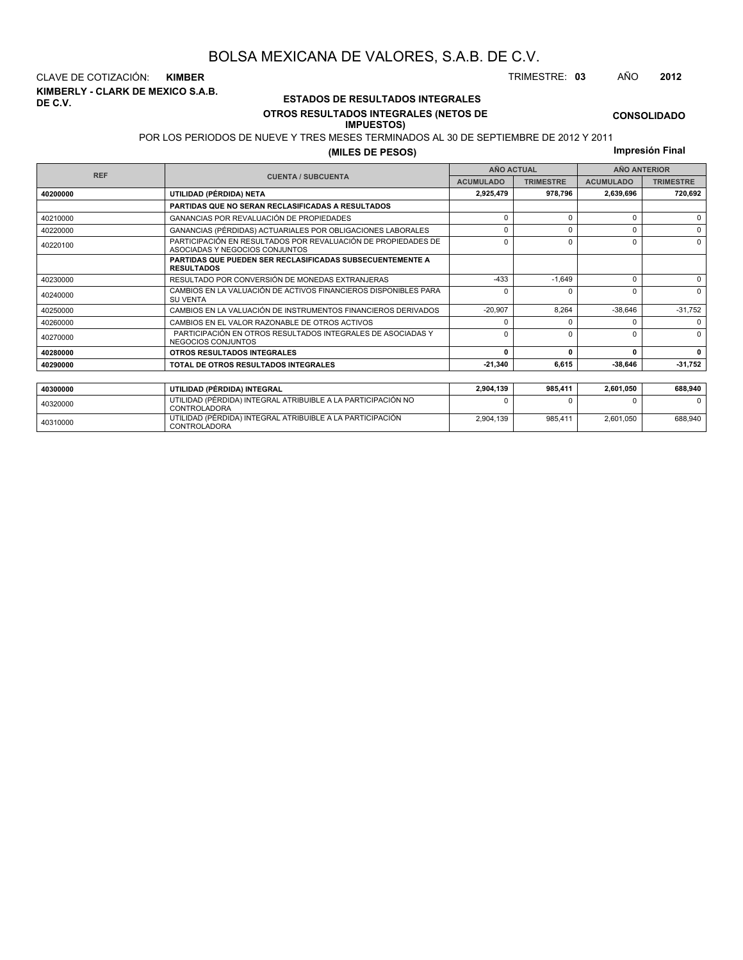**KIMBERLY - CLARK DE MEXICO S.A.B. DE C.V.** CLAVE DE COTIZACIÓN: **KIMBER** TRIMESTRE: **03** AÑO **2012**

#### **ESTADOS DE RESULTADOS INTEGRALES OTROS RESULTADOS INTEGRALES (NETOS DE**

#### **IMPUESTOS)**

POR LOS PERIODOS DE NUEVE Y TRES MESES TERMINADOS AL 30 DE SEPTIEMBRE DE 2012 Y 2011

**(MILES DE PESOS)**

**Impresión Final**

|            |                                                                                                 | <b>AÑO ACTUAL</b> |                  | <b>AÑO ANTERIOR</b> |                  |  |
|------------|-------------------------------------------------------------------------------------------------|-------------------|------------------|---------------------|------------------|--|
| <b>REF</b> | <b>CUENTA / SUBCUENTA</b><br><b>ACUMULADO</b>                                                   |                   | <b>TRIMESTRE</b> | <b>ACUMULADO</b>    | <b>TRIMESTRE</b> |  |
| 40200000   | UTILIDAD (PÉRDIDA) NETA                                                                         | 2,925,479         | 978,796          | 2,639,696           | 720,692          |  |
|            | <b>PARTIDAS QUE NO SERAN RECLASIFICADAS A RESULTADOS</b>                                        |                   |                  |                     |                  |  |
| 40210000   | GANANCIAS POR REVALUACIÓN DE PROPIEDADES                                                        | $\Omega$          | $\Omega$         |                     | $\Omega$         |  |
| 40220000   | GANANCIAS (PÉRDIDAS) ACTUARIALES POR OBLIGACIONES LABORALES                                     | $\Omega$          | <sup>0</sup>     |                     | 0                |  |
| 40220100   | PARTICIPACIÓN EN RESULTADOS POR REVALUACIÓN DE PROPIEDADES DE<br>ASOCIADAS Y NEGOCIOS CONJUNTOS | $\Omega$          | $\Omega$         |                     | $\Omega$         |  |
|            | <b>PARTIDAS QUE PUEDEN SER RECLASIFICADAS SUBSECUENTEMENTE A</b><br><b>RESULTADOS</b>           |                   |                  |                     |                  |  |
| 40230000   | RESULTADO POR CONVERSIÓN DE MONEDAS EXTRANJERAS                                                 | $-433$            | $-1,649$         | $\Omega$            | $\Omega$         |  |
| 40240000   | CAMBIOS EN LA VALUACIÓN DE ACTIVOS FINANCIEROS DISPONIBLES PARA<br><b>SU VENTA</b>              | $\Omega$          | $\Omega$         | O                   | $\Omega$         |  |
| 40250000   | CAMBIOS EN LA VALUACIÓN DE INSTRUMENTOS FINANCIEROS DERIVADOS                                   | $-20,907$         | 8.264            | $-38.646$           | $-31,752$        |  |
| 40260000   | CAMBIOS EN EL VALOR RAZONABLE DE OTROS ACTIVOS                                                  | n                 |                  |                     | $\Omega$         |  |
| 40270000   | PARTICIPACIÓN EN OTROS RESULTADOS INTEGRALES DE ASOCIADAS Y<br>NEGOCIOS CONJUNTOS               | $\Omega$          | $\Omega$         |                     | $\Omega$         |  |
| 40280000   | OTROS RESULTADOS INTEGRALES                                                                     | $\Omega$          | $\Omega$         | n                   | $\mathbf{0}$     |  |
| 40290000   | TOTAL DE OTROS RESULTADOS INTEGRALES                                                            | $-21,340$         | 6,615            | $-38,646$           | $-31,752$        |  |
|            |                                                                                                 |                   |                  |                     |                  |  |
| 40300000   | UTILIDAD (PÉRDIDA) INTEGRAL                                                                     | 2,904,139         | 985,411          | 2,601,050           | 688,940          |  |
| 40320000   | UTILIDAD (PÉRDIDA) INTEGRAL ATRIBUIBLE A LA PARTICIPACIÓN NO<br><b>CONTROLADORA</b>             | n                 |                  |                     | $\Omega$         |  |

<sup>40310000</sup> UTILIDAD (PÉRDIDA) INTEGRAL ATRIBUIBLE A LA PARTICIPACIÓN CONTROLADORA

2,904,139 985,411 2,601,050 688,940

**CONSOLIDADO**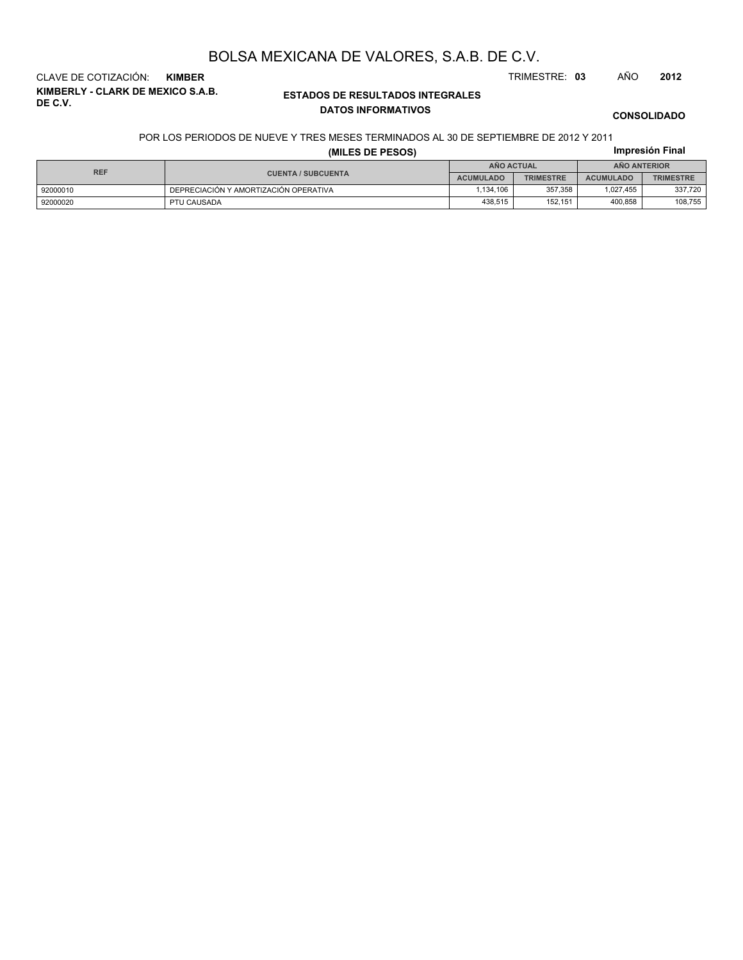**KIMBERLY - CLARK DE MEXICO S.A.B. DE C.V.** CLAVE DE COTIZACIÓN: **KIMBER** TRIMESTRE: **03** AÑO **2012**

#### **ESTADOS DE RESULTADOS INTEGRALES DATOS INFORMATIVOS**

**CONSOLIDADO**

**Impresión Final**

#### POR LOS PERIODOS DE NUEVE Y TRES MESES TERMINADOS AL 30 DE SEPTIEMBRE DE 2012 Y 2011

|  |  |  | (MILES DE PESOS) |  |
|--|--|--|------------------|--|
|--|--|--|------------------|--|

| <b>REF</b> |                                       | <b>ANO ACTUAL</b> |                  | <b>ANO ANTERIOR</b> |                  |  |
|------------|---------------------------------------|-------------------|------------------|---------------------|------------------|--|
|            | <b>CUENTA / SUBCUENTA</b>             | <b>ACUMULADO</b>  | <b>TRIMESTRE</b> | <b>ACUMULADO</b>    | <b>TRIMESTRE</b> |  |
| 92000010   | DEPRECIACIÓN Y AMORTIZACIÓN OPERATIVA | .134.106          | 357.358          | 1.027.455           | 337.720          |  |
| 92000020   | PTU CAUSADA                           | 438.515           | 152.151          | 400.858             | 108,755          |  |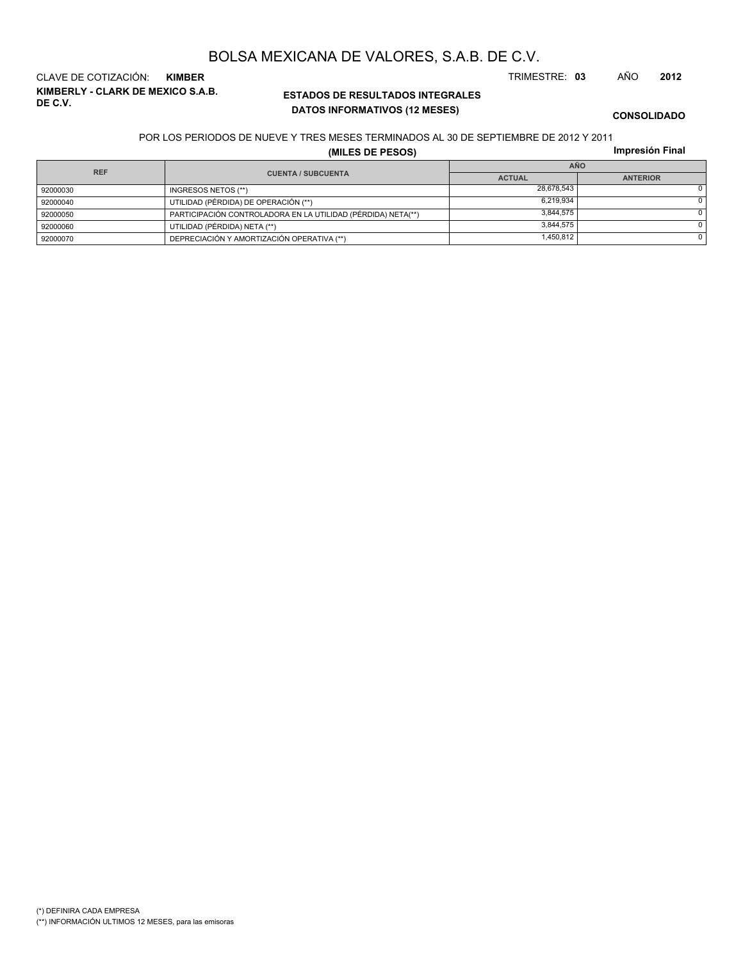# (\*) DEFINIRA CADA EMPRESA

(\*\*) INFORMACIÓN ULTIMOS 12 MESES, para las emisoras

**ESTADOS DE RESULTADOS INTEGRALES DATOS INFORMATIVOS (12 MESES)**

**KIMBERLY - CLARK DE MEXICO S.A.B.** CLAVE DE COTIZACIÓN: **KIMBER** TRIMESTRE: **03** AÑO **2012**

**CONSOLIDADO**

#### POR LOS PERIODOS DE NUEVE Y TRES MESES TERMINADOS AL 30 DE SEPTIEMBRE DE 2012 Y 2011

**(MILES DE PESOS)**

|  | Impresión Final |
|--|-----------------|

| <b>REF</b> |                                                              | <b>AÑO</b>    |                 |  |  |
|------------|--------------------------------------------------------------|---------------|-----------------|--|--|
|            | <b>CUENTA / SUBCUENTA</b>                                    | <b>ACTUAL</b> | <b>ANTERIOR</b> |  |  |
| 92000030   | INGRESOS NETOS (**)                                          | 28.678.543    |                 |  |  |
| 92000040   | UTILIDAD (PÉRDIDA) DE OPERACIÓN (**)                         | 6.219.934     |                 |  |  |
| 92000050   | PARTICIPACIÓN CONTROLADORA EN LA UTILIDAD (PÉRDIDA) NETA(**) | 3.844.575     |                 |  |  |
| 92000060   | UTILIDAD (PÉRDIDA) NETA (**)                                 | 3.844.575     |                 |  |  |
| 92000070   | DEPRECIACIÓN Y AMORTIZACIÓN OPERATIVA (**)                   | 1,450,812     |                 |  |  |

# BOLSA MEXICANA DE VALORES, S.A.B. DE C.V.

**DE C.V.**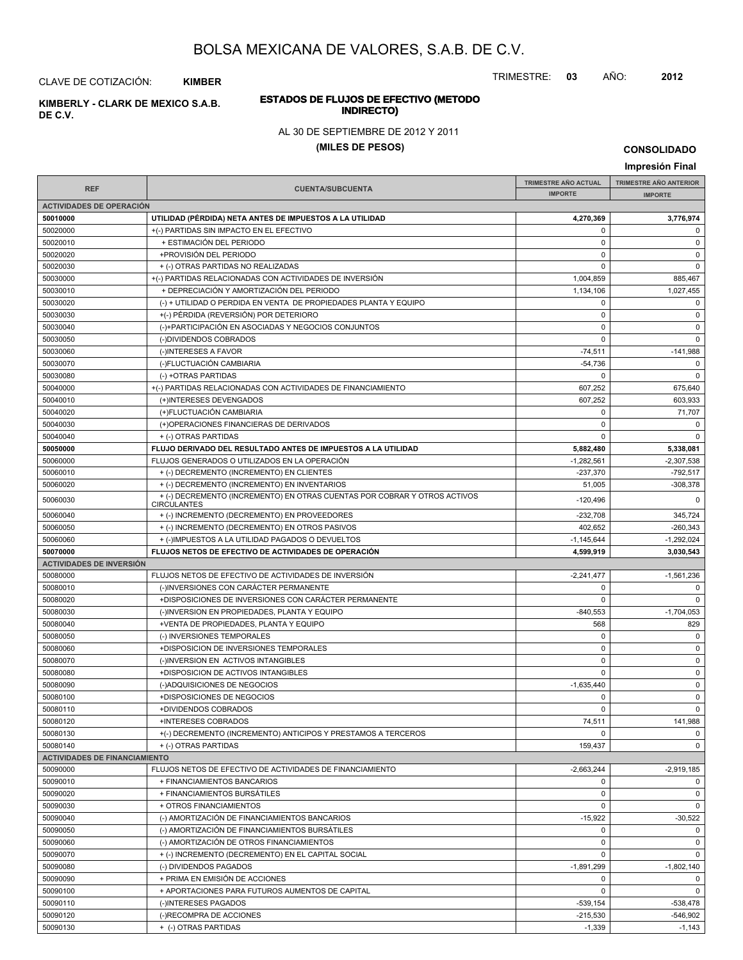TRIMESTRE: **03** AÑO: **2012**

CLAVE DE COTIZACIÓN: **KIMBER**

**INDIRECTO) KIMBERLY - CLARK DE MEXICO S.A.B. DE C.V.**

# **ESTADOS DE FLUJOS DE EFECTIVO (METODO**

AL 30 DE SEPTIEMBRE DE 2012 Y 2011

### **(MILES DE PESOS)**

**CONSOLIDADO**

**Impresión Final IMPRESIÓN FINAL AND SUBCUENTA**<br> **IMPORTE TRIMESTRE AÑO ACTUAL IMPORTE IMPORTE REF TRIMESTRE AÑO ANTERIOR IMPORTE ACTIVIDADES DE OPERACIÓN 50010000 UTILIDAD (PÉRDIDA) NETA ANTES DE IMPUESTOS A LA UTILIDAD 4,270,369 3,776,974** 50020000 +(-) PARTIDAS SIN IMPACTO EN EL EFECTIVO 0 0 50020010 + ESTIMACIÓN DEL PERIODO 0 0 50020020 +PROVISIÓN DEL PERIODO 0 0 50020030 + (-) OTRAS PARTIDAS NO REALIZADAS 0 0 50030000 + +(-) PARTIDAS RELACIONADAS CON ACTIVIDADES DE INVERSIÓN 1,004,859 885,467 50030010 + DEPRECIACIÓN Y AMORTIZACIÓN DEL PERIODO 1,134,106 (1,134,106 + 1,134,106 + 1,027,455 50030020 (-) + UTILIDAD O PERDIDA EN VENTA DE PROPIEDADES PLANTA Y EQUIPO 0 0 50030030 +(-) PÉRDIDA (REVERSIÓN) POR DETERIORO 0 0 50030040 (-)+PARTICIPACIÓN EN ASOCIADAS Y NEGOCIOS CONJUNTOS 0 0 50030050 (-)DIVIDENDOS COBRADOS 0 0 50030060 (-)INTERESES A FAVOR -74,511 -141,988 50030070 (-)FLUCTUACIÓN CAMBIARIA -54,736 0 50030080 (-) +OTRAS PARTIDAS 0 0 50040000 + (-) PARTIDAS RELACIONADAS CON ACTIVIDADES DE FINANCIAMIENTO 607,252 675,640 50040010 (+)INTERESES DEVENGADOS 607,252 603,933 50040020 (+)FLUCTUACIÓN CAMBIARIA 0 71,707 50040030 (+)OPERACIONES FINANCIERAS DE DERIVADOS 0 0 50040040 + (-) OTRAS PARTIDAS 0 0 **50050000 FLUJO DERIVADO DEL RESULTADO ANTES DE IMPUESTOS A LA UTILIDAD 5,882,480 5,338,081** 50060000 FLUJOS GENERADOS O UTILIZADOS EN LA OPERACIÓN -1,282,561 -1,282,561 -2,307,538 50060010 + (-) DECREMENTO (INCREMENTO) EN CLIENTES -237,370 -792,517  $50060020$  + (-) DECREMENTO (INCREMENTO) EN INVENTARIOS 51,005 51,005 51,005 -308,378 50060030 -120,496 0 + (-) DECREMENTO (INCREMENTO) EN OTRAS CUENTAS POR COBRAR Y OTROS ACTIVOS **CIRCULANTES** 50060040 + (-) INCREMENTO (DECREMENTO) EN PROVEEDORES -232,708 345,724 50060050 + (-) INCREMENTO (DECREMENTO) EN OTROS PASIVOS + + (-) INCREMENTO (DECREMENTO) EN OTROS PASIVOS 50060060 + (-)IMPUESTOS A LA UTILIDAD PAGADOS O DEVUELTOS -1,145,644 -1,145,644 -1,145,644 -1,1492,024 **50070000 FLUJOS NETOS DE EFECTIVO DE ACTIVIDADES DE OPERACIÓN 4,599,919 3,030,543 ACTIVIDADES DE INVERSIÓN** 50080000 FLUJOS NETOS DE EFECTIVO DE ACTIVIDADES DE INVERSIÓN CONTENTENTE EN EL 2241,477 FLUJOS NETOS DE EFECTIVO DE ACTIVIDADES DE INVERSIÓN CONTENTENTE EN EL 2241,477 FLUJOS NETOS DE EFECTIVO DE ACTIVIDADES DE INVERSIÓN 50080010 (-)INVERSIONES CON CARÁCTER PERMANENTE 0 0 50080020 +DISPOSICIONES DE INVERSIONES CON CARÁCTER PERMANENTE 0 0 50080030 (-)INVERSION EN PROPIEDADES, PLANTA Y EQUIPO -840,553 -1,704,053 -1,704,053 -1,704,053 50080040 +VENTA DE PROPIEDADES, PLANTA Y EQUIPO 568 829 50080050 (-) INVERSIONES TEMPORALES 0 0 50080060 +DISPOSICION DE INVERSIONES TEMPORALES 0 0 50080070 (-)INVERSION EN ACTIVOS INTANGIBLES 0 0 50080080 +DISPOSICION DE ACTIVOS INTANGIBLES 0 0 50080090 (-)ADQUISICIONES DE NEGOCIOS -1,635,440 0 50080100 +DISPOSICIONES DE NEGOCIOS 0 0 50080110 +DIVIDENDOS COBRADOS 0 0 50080120 +INTERESES COBRADOS 74,511 141,988 50080130 +(-) DECREMENTO (INCREMENTO) ANTICIPOS Y PRESTAMOS A TERCEROS 0 0 50080140 + (-) OTRAS PARTIDAS 0 **ACTIVIDADES DE FINANCIAMIENTO** 50090000 FLUJOS NETOS DE EFECTIVO DE ACTIVIDADES DE FINANCIAMIENTO -2,663,244 -2,919,185 50090010 + FINANCIAMIENTOS BANCARIOS 0 0 50090020 + FINANCIAMIENTOS BURSÁTILES 0 0 50090030 + OTROS FINANCIAMIENTOS 0 0 50090040 (-) AMORTIZACIÓN DE FINANCIAMIENTOS BANCARIOS -15,922 -15,922 -15,922 -15,922 -30,522 50090050 (-) AMORTIZACIÓN DE FINANCIAMIENTOS BURSÁTILES 0 0 50090060 (-) AMORTIZACIÓN DE OTROS FINANCIAMIENTOS 0 0 50090070 + (-) INCREMENTO (DECREMENTO) EN EL CAPITAL SOCIAL 0 0 50090080 (-) DIVIDENDOS PAGADOS -1,891,299 -1,802,140 50090090 + PRIMA EN EMISIÓN DE ACCIONES de la componentación de la componentación de la componentación de la c 50090100 + APORTACIONES PARA FUTUROS AUMENTOS DE CAPITAL 0 0 50090110 | (-)INTERESES PAGADOS -539,154 | -538,478 50090120 (-)RECOMPRA DE ACCIONES -215,530 -546,902

50090130 + (-) OTRAS PARTIDAS -1,339 -1,143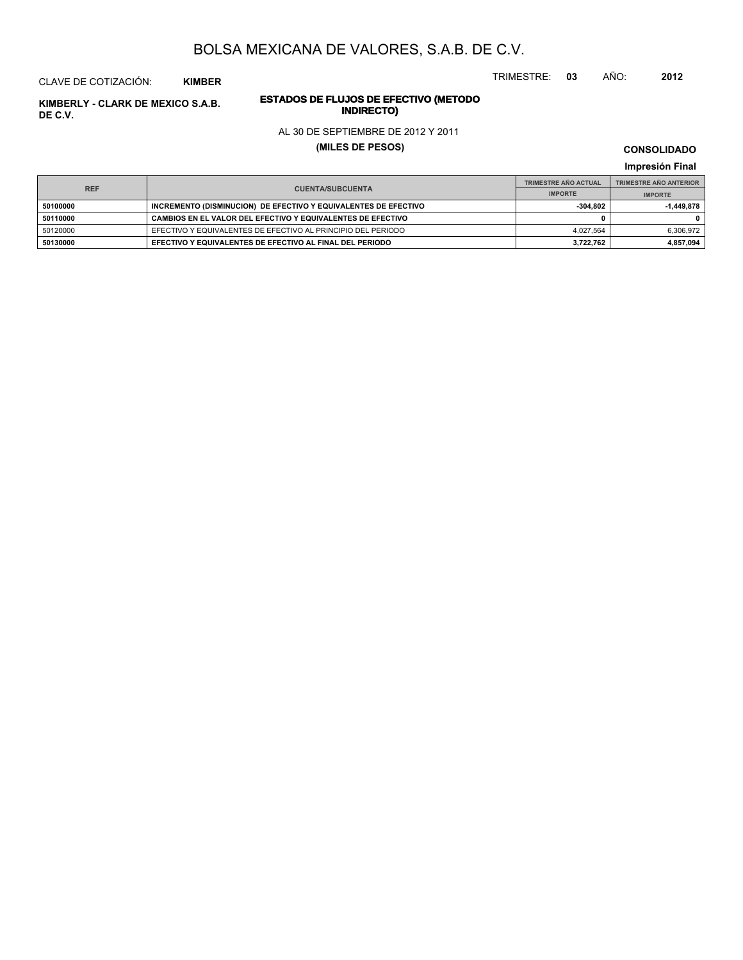TRIMESTRE: **03** AÑO: **2012**

#### CLAVE DE COTIZACIÓN: **KIMBER**

# **INDIRECTO) KIMBERLY - CLARK DE MEXICO S.A.B. DE C.V.**

# **ESTADOS DE FLUJOS DE EFECTIVO (METODO** AL 30 DE SEPTIEMBRE DE 2012 Y 2011

# **(MILES DE PESOS)**

#### **CONSOLIDADO**

#### **Impresión Final**

| <b>REF</b> |                                                                 | <b>TRIMESTRE AÑO ACTUAL</b> | <b>TRIMESTRE AÑO ANTERIOR</b> |
|------------|-----------------------------------------------------------------|-----------------------------|-------------------------------|
|            | <b>CUENTA/SUBCUENTA</b>                                         | <b>IMPORTE</b>              | <b>IMPORTE</b>                |
| 50100000   | INCREMENTO (DISMINUCION) DE EFECTIVO Y EQUIVALENTES DE EFECTIVO | $-304.802$                  | $-1.449.878$                  |
| 50110000   | CAMBIOS EN EL VALOR DEL EFECTIVO Y EQUIVALENTES DE EFECTIVO     |                             |                               |
| 50120000   | EFECTIVO Y EQUIVALENTES DE EFECTIVO AL PRINCIPIO DEL PERIODO    | 4.027.564                   | 6,306,972                     |
| 50130000   | EFECTIVO Y EQUIVALENTES DE EFECTIVO AL FINAL DEL PERIODO        | 3.722.762                   | 4,857,094                     |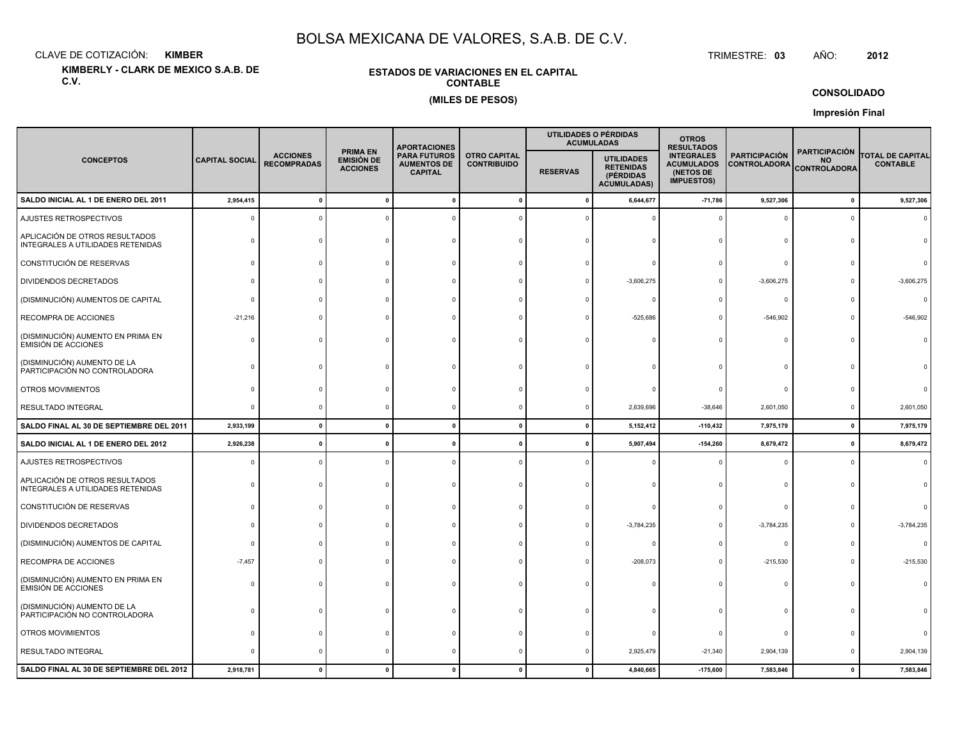CLAVE DE COTIZACIÓN:**KIMBER**: KIMBER TRIMESTRE:

**KIMBERLY - CLARK DE MEXICO S.A.B. DE C.V.**

#### **ESTADOS DE VARIACIONES EN EL CAPITALCONTABLE(MILES DE PESOS)**

TRIMESTRE: 03 AÑO: **<sup>2012</sup>**

**CONSOLIDADO**

**Impresión Final**

|                                                                     |                       |                                       |                                                         | <b>APORTACIONES</b>                                         |                                           | UTILIDADES O PÉRDIDAS<br><b>ACUMULADAS</b> |                                                                          | <b>OTROS</b><br><b>RESULTADOS</b>                                        |                                             |                                                          |                                            |
|---------------------------------------------------------------------|-----------------------|---------------------------------------|---------------------------------------------------------|-------------------------------------------------------------|-------------------------------------------|--------------------------------------------|--------------------------------------------------------------------------|--------------------------------------------------------------------------|---------------------------------------------|----------------------------------------------------------|--------------------------------------------|
| <b>CONCEPTOS</b>                                                    | <b>CAPITAL SOCIAL</b> | <b>ACCIONES</b><br><b>RECOMPRADAS</b> | <b>PRIMA EN</b><br><b>EMISIÓN DE</b><br><b>ACCIONES</b> | <b>PARA FUTUROS</b><br><b>AUMENTOS DE</b><br><b>CAPITAL</b> | <b>OTRO CAPITAL</b><br><b>CONTRIBUIDO</b> | <b>RESERVAS</b>                            | <b>UTILIDADES</b><br><b>RETENIDAS</b><br>(PÉRDIDAS<br><b>ACUMULADAS)</b> | <b>INTEGRALES</b><br><b>ACUMULADOS</b><br>(NETOS DE<br><b>IMPUESTOS)</b> | <b>PARTICIPACIÓN</b><br><b>CONTROLADORA</b> | <b>PARTICIPACIÓN</b><br><b>NO</b><br><b>CONTROLADORA</b> | <b>TOTAL DE CAPITAL</b><br><b>CONTABLE</b> |
| SALDO INICIAL AL 1 DE ENERO DEL 2011                                | 2,954,415             |                                       |                                                         |                                                             | $\mathbf{0}$                              | $\Omega$                                   | 6,644,677                                                                | $-71,786$                                                                | 9,527,306                                   | $\pmb{0}$                                                | 9,527,306                                  |
| AJUSTES RETROSPECTIVOS                                              | C                     |                                       |                                                         |                                                             |                                           |                                            |                                                                          | $\Omega$                                                                 | 0                                           | $\Omega$                                                 |                                            |
| APLICACIÓN DE OTROS RESULTADOS<br>INTEGRALES A UTILIDADES RETENIDAS |                       |                                       |                                                         |                                                             |                                           |                                            |                                                                          |                                                                          | $\Omega$                                    |                                                          |                                            |
| CONSTITUCIÓN DE RESERVAS                                            |                       |                                       |                                                         |                                                             |                                           |                                            |                                                                          |                                                                          | $\Omega$                                    |                                                          |                                            |
| DIVIDENDOS DECRETADOS                                               |                       |                                       |                                                         |                                                             |                                           |                                            | $-3,606,275$                                                             |                                                                          | $-3,606,275$                                |                                                          | $-3,606,275$                               |
| (DISMINUCIÓN) AUMENTOS DE CAPITAL                                   |                       |                                       |                                                         |                                                             |                                           |                                            |                                                                          |                                                                          | $\circ$                                     |                                                          | $\Omega$                                   |
| RECOMPRA DE ACCIONES                                                | $-21,216$             |                                       |                                                         |                                                             |                                           |                                            | $-525,686$                                                               |                                                                          | $-546,902$                                  | $\Omega$                                                 | $-546,902$                                 |
| (DISMINUCIÓN) AUMENTO EN PRIMA EN<br>EMISIÓN DE ACCIONES            |                       |                                       |                                                         |                                                             |                                           |                                            |                                                                          |                                                                          | $\Omega$                                    |                                                          |                                            |
| (DISMINUCIÓN) AUMENTO DE LA<br>PARTICIPACIÓN NO CONTROLADORA        |                       |                                       |                                                         |                                                             |                                           |                                            |                                                                          |                                                                          | $\Omega$                                    |                                                          |                                            |
| OTROS MOVIMIENTOS                                                   |                       |                                       |                                                         |                                                             |                                           |                                            |                                                                          |                                                                          | $\Omega$                                    |                                                          |                                            |
| <b>RESULTADO INTEGRAL</b>                                           | ſ                     |                                       |                                                         |                                                             |                                           |                                            | 2,639,696                                                                | $-38,646$                                                                | 2,601,050                                   | 0                                                        | 2,601,050                                  |
| SALDO FINAL AL 30 DE SEPTIEMBRE DEL 2011                            | 2,933,199             | $\mathbf{r}$                          | $\mathbf{r}$                                            | -C                                                          | $\mathbf{0}$                              | $\mathbf{0}$                               | 5,152,412                                                                | $-110,432$                                                               | 7,975,179                                   | $\mathbf{0}$                                             | 7,975,179                                  |
| SALDO INICIAL AL 1 DE ENERO DEL 2012                                | 2,926,238             |                                       |                                                         |                                                             | -0                                        |                                            | 5,907,494                                                                | $-154,260$                                                               | 8,679,472                                   | $\pmb{0}$                                                | 8,679,472                                  |
| AJUSTES RETROSPECTIVOS                                              |                       |                                       |                                                         |                                                             |                                           |                                            |                                                                          |                                                                          | $\Omega$                                    | $\Omega$                                                 | $\Omega$                                   |
| APLICACIÓN DE OTROS RESULTADOS<br>INTEGRALES A UTILIDADES RETENIDAS |                       |                                       |                                                         |                                                             |                                           |                                            |                                                                          |                                                                          | $\Omega$                                    | n                                                        |                                            |
| CONSTITUCIÓN DE RESERVAS                                            |                       |                                       |                                                         |                                                             |                                           |                                            |                                                                          |                                                                          | $\Omega$                                    |                                                          |                                            |
| DIVIDENDOS DECRETADOS                                               |                       |                                       |                                                         |                                                             |                                           |                                            | $-3,784,235$                                                             |                                                                          | $-3,784,235$                                |                                                          | $-3,784,235$                               |
| (DISMINUCIÓN) AUMENTOS DE CAPITAL                                   |                       |                                       |                                                         |                                                             |                                           |                                            |                                                                          |                                                                          | $^{\circ}$                                  |                                                          |                                            |
| RECOMPRA DE ACCIONES                                                | $-7,457$              |                                       |                                                         |                                                             |                                           |                                            | $-208,073$                                                               |                                                                          | $-215,530$                                  |                                                          | $-215,530$                                 |
| (DISMINUCIÓN) AUMENTO EN PRIMA EN<br><b>EMISIÓN DE ACCIONES</b>     |                       |                                       |                                                         |                                                             |                                           |                                            |                                                                          |                                                                          | $\Omega$                                    |                                                          |                                            |
| (DISMINUCIÓN) AUMENTO DE LA<br>PARTICIPACIÓN NO CONTROLADORA        |                       |                                       |                                                         |                                                             |                                           |                                            |                                                                          |                                                                          | 0                                           |                                                          |                                            |
| OTROS MOVIMIENTOS                                                   |                       |                                       |                                                         |                                                             |                                           |                                            |                                                                          |                                                                          | $\Omega$                                    |                                                          |                                            |
| RESULTADO INTEGRAL                                                  |                       |                                       |                                                         |                                                             |                                           |                                            | 2,925,479                                                                | $-21,340$                                                                | 2,904,139                                   | $\Omega$                                                 | 2,904,139                                  |
| SALDO FINAL AL 30 DE SEPTIEMBRE DEL 2012                            | 2,918,781             |                                       |                                                         |                                                             | $\mathbf{0}$                              |                                            | 4,840,665                                                                | $-175,600$                                                               | 7,583,846                                   | $\mathbf{0}$                                             | 7,583,846                                  |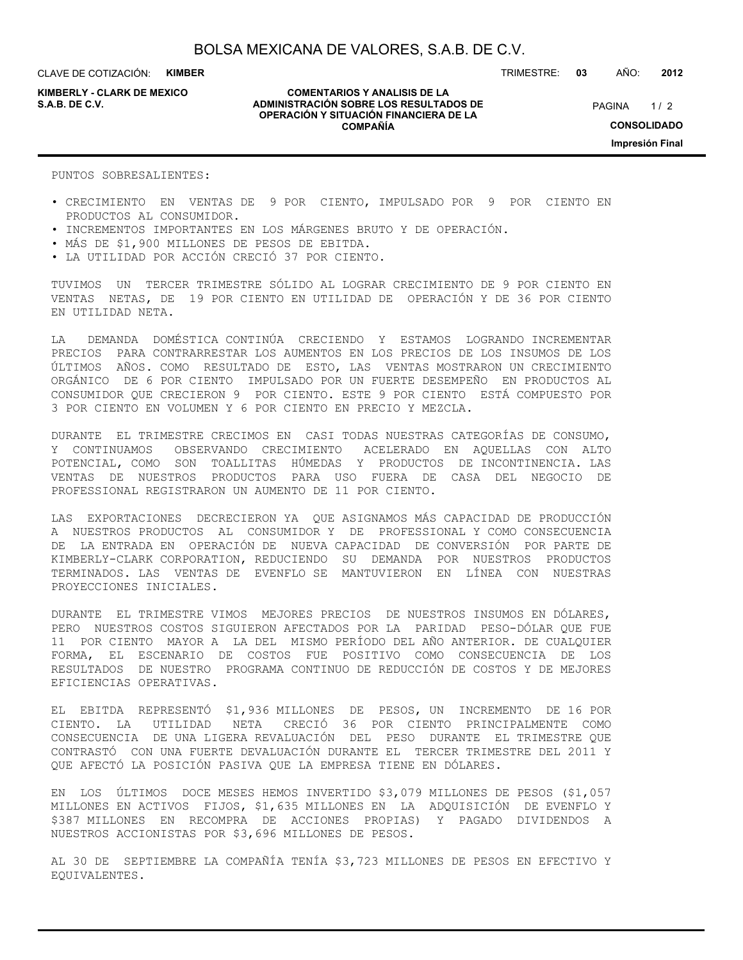CLAVE DE COTIZACIÓN: **KIMBER**

**KIMBERLY - CLARK DE MEXICO**

#### **COMENTARIOS Y ANALISIS DE LA ADMINISTRACIÓN SOBRE LOS RESULTADOS DE S.A.B. DE C.V.** PAGINA / 2 **OPERACIÓN Y SITUACIÓN FINANCIERA DE LA COMPAÑÍA**

 $1/2$ **CONSOLIDADO Impresión Final**

PUNTOS SOBRESALIENTES·

- CRECIMIENTO EN VENTAS DE 9 POR CIENTO, IMPULSADO POR 9 POR CIENTO EN PRODUCTOS AL CONSUMIDOR.
- INCREMENTOS IMPORTANTES EN LOS MÁRGENES BRUTO Y DE OPERACIÓN.
- MÁS DE \$1,900 MILLONES DE PESOS DE EBITDA.
- LA UTILIDAD POR ACCIÓN CRECIÓ 37 POR CIENTO.

TUVIMOS UN TERCER TRIMESTRE SÓLIDO AL LOGRAR CRECIMIENTO DE 9 POR CIENTO EN VENTAS NETAS, DE 19 POR CIENTO EN UTILIDAD DE OPERACIÓN Y DE 36 POR CIENTO EN UTILIDAD NETA.

LA DEMANDA DOMÉSTICA CONTINÚA CRECIENDO Y ESTAMOS LOGRANDO INCREMENTAR PRECIOS PARA CONTRARRESTAR LOS AUMENTOS EN LOS PRECIOS DE LOS INSUMOS DE LOS ÚLTIMOS AÑOS. COMO RESULTADO DE ESTO, LAS VENTAS MOSTRARON UN CRECIMIENTO ORGÁNICO DE 6 POR CIENTO IMPULSADO POR UN FUERTE DESEMPEÑO EN PRODUCTOS AL CONSUMIDOR QUE CRECIERON 9 POR CIENTO. ESTE 9 POR CIENTO ESTÁ COMPUESTO POR 3 POR CIENTO EN VOLUMEN Y 6 POR CIENTO EN PRECIO Y MEZCLA.

DURANTE EL TRIMESTRE CRECIMOS EN CASI TODAS NUESTRAS CATEGORÍAS DE CONSUMO, Y CONTINUAMOS OBSERVANDO CRECIMIENTO ACELERADO EN AQUELLAS CON ALTO POTENCIAL, COMO SON TOALLITAS HÚMEDAS Y PRODUCTOS DE INCONTINENCIA. LAS VENTAS DE NUESTROS PRODUCTOS PARA USO FUERA DE CASA DEL NEGOCIO DE PROFESSIONAL REGISTRARON UN AUMENTO DE 11 POR CIENTO.

LAS EXPORTACIONES DECRECIERON YA QUE ASIGNAMOS MÁS CAPACIDAD DE PRODUCCIÓN A NUESTROS PRODUCTOS AL CONSUMIDOR Y DE PROFESSIONAL Y COMO CONSECUENCIA DE LA ENTRADA EN OPERACIÓN DE NUEVA CAPACIDAD DE CONVERSIÓN POR PARTE DE KIMBERLY-CLARK CORPORATION, REDUCIENDO SU DEMANDA POR NUESTROS PRODUCTOS TERMINADOS. LAS VENTAS DE EVENFLO SE MANTUVIERON EN LÍNEA CON NUESTRAS PROYECCIONES INICIALES.

DURANTE EL TRIMESTRE VIMOS MEJORES PRECIOS DE NUESTROS INSUMOS EN DÓLARES, PERO NUESTROS COSTOS SIGUIERON AFECTADOS POR LA PARIDAD PESO-DÓLAR QUE FUE 11 POR CIENTO MAYOR A LA DEL MISMO PERÍODO DEL AÑO ANTERIOR. DE CUALQUIER FORMA, EL ESCENARIO DE COSTOS FUE POSITIVO COMO CONSECUENCIA DE LOS RESULTADOS DE NUESTRO PROGRAMA CONTINUO DE REDUCCIÓN DE COSTOS Y DE MEJORES EFICIENCIAS OPERATIVAS.

EL EBITDA REPRESENTÓ \$1,936 MILLONES DE PESOS, UN INCREMENTO DE 16 POR CIENTO. LA UTILIDAD NETA CRECIÓ 36 POR CIENTO PRINCIPALMENTE COMO CONSECUENCIA DE UNA LIGERA REVALUACIÓN DEL PESO DURANTE EL TRIMESTRE QUE CONTRASTÓ CON UNA FUERTE DEVALUACIÓN DURANTE EL TERCER TRIMESTRE DEL 2011 Y QUE AFECTÓ LA POSICIÓN PASIVA QUE LA EMPRESA TIENE EN DÓLARES.

EN LOS ÚLTIMOS DOCE MESES HEMOS INVERTIDO \$3,079 MILLONES DE PESOS (\$1,057 MILLONES EN ACTIVOS FIJOS, \$1,635 MILLONES EN LA ADQUISICIÓN DE EVENFLO Y \$387 MILLONES EN RECOMPRA DE ACCIONES PROPIAS) Y PAGADO DIVIDENDOS A NUESTROS ACCIONISTAS POR \$3,696 MILLONES DE PESOS.

AL 30 DE SEPTIEMBRE LA COMPAÑÍA TENÍA \$3,723 MILLONES DE PESOS EN EFECTIVO Y EQUIVALENTES.

TRIMESTRE: **03** AÑO: **2012**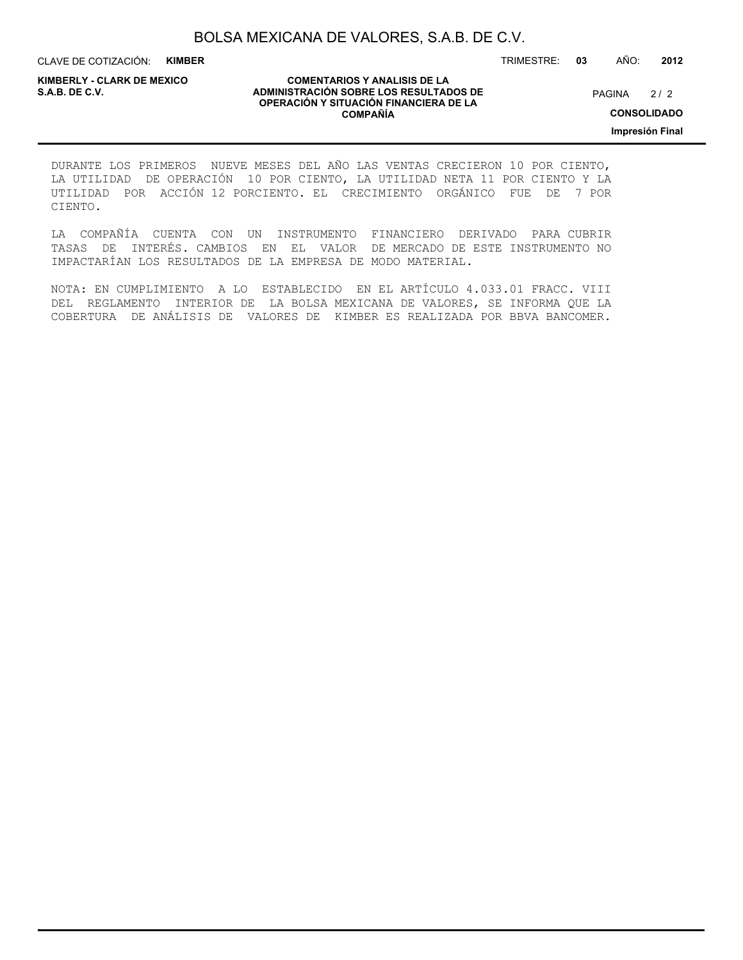CLAVE DE COTIZACIÓN: **KIMBER**

**KIMBERLY - CLARK DE MEXICO**

#### **COMENTARIOS Y ANALISIS DE LA ADMINISTRACIÓN SOBRE LOS RESULTADOS DE PAGINA 2/2 ADMINISTRACIÓN SOBRE LOS RESULTADOS DE** PAGINA 2/2 **OPERACIÓN Y SITUACIÓN FINANCIERA DE LA COMPAÑÍA**

 $2/2$ 

**CONSOLIDADO**

**Impresión Final**

DURANTE LOS PRIMEROS NUEVE MESES DEL AÑO LAS VENTAS CRECIERON 10 POR CIENTO, LA UTILIDAD DE OPERACIÓN 10 POR CIENTO, LA UTILIDAD NETA 11 POR CIENTO Y LA UTILIDAD POR ACCIÓN 12 PORCIENTO. EL CRECIMIENTO ORGÁNICO FUE DE 7 POR CIENTO.

LA COMPAÑÍA CUENTA CON UN INSTRUMENTO FINANCIERO DERIVADO PARA CUBRIR TASAS DE INTERÉS. CAMBIOS EN EL VALOR DE MERCADO DE ESTE INSTRUMENTO NO IMPACTARÍAN LOS RESULTADOS DE LA EMPRESA DE MODO MATERIAL.

NOTA: EN CUMPLIMIENTO A LO ESTABLECIDO EN EL ARTÍCULO 4.033.01 FRACC. VIII DEL REGLAMENTO INTERIOR DE LA BOLSA MEXICANA DE VALORES, SE INFORMA QUE LA COBERTURA DE ANÁLISIS DE VALORES DE KIMBER ES REALIZADA POR BBVA BANCOMER.

TRIMESTRE: **03** AÑO: **2012**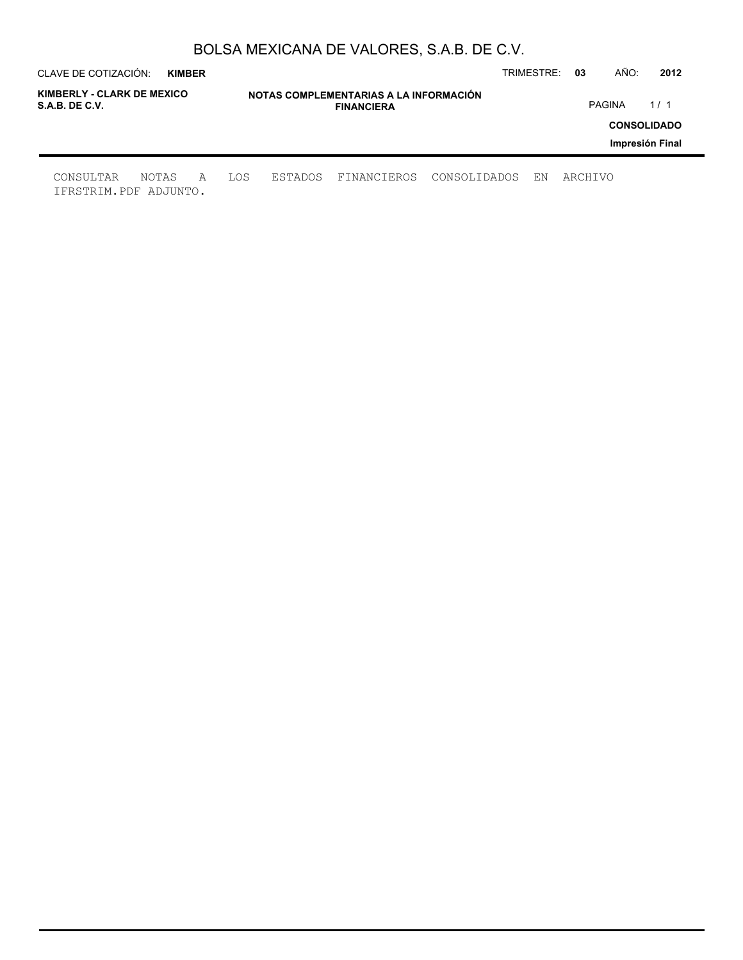| CLAVE DE COTIZACIÓN:                         | <b>KIMBER</b> |   |     |         |                                                             |              | TRIMESTRE: | 03      | AÑO:          | 2012               |
|----------------------------------------------|---------------|---|-----|---------|-------------------------------------------------------------|--------------|------------|---------|---------------|--------------------|
| KIMBERLY - CLARK DE MEXICO<br>S.A.B. DE C.V. |               |   |     |         | NOTAS COMPLEMENTARIAS A LA INFORMACIÓN<br><b>FINANCIERA</b> |              |            |         | <b>PAGINA</b> | 1/1                |
|                                              |               |   |     |         |                                                             |              |            |         |               | <b>CONSOLIDADO</b> |
|                                              |               |   |     |         |                                                             |              |            |         |               | Impresión Final    |
| CONSULTAR<br>IFRSTRIM.PDF ADJUNTO.           | NOTAS         | A | LOS | ESTADOS | FINANCIEROS                                                 | CONSOLIDADOS | ΕN         | ARCHIVO |               |                    |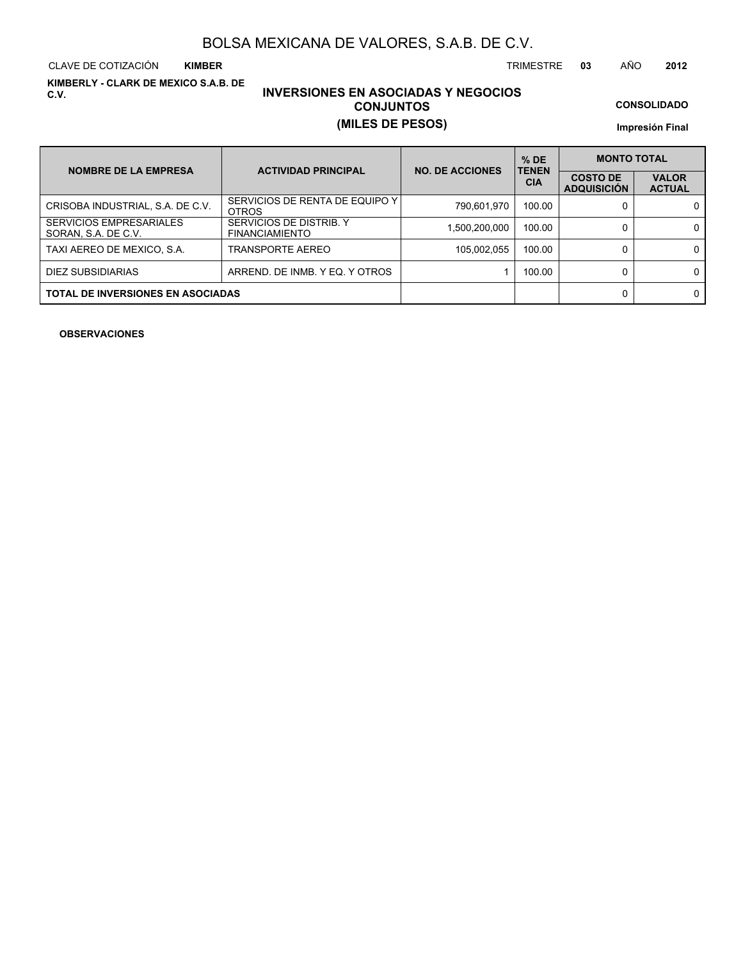CLAVE DE COTIZACIÓN TRIMESTRE **03** AÑO **2012 KIMBER**

**KIMBERLY - CLARK DE MEXICO S.A.B. DE C.V.**

# **INVERSIONES EN ASOCIADAS Y NEGOCIOS CONJUNTOS (MILES DE PESOS)**

**CONSOLIDADO**

**Impresión Final**

| <b>NOMBRE DE LA EMPRESA</b>                           | <b>ACTIVIDAD PRINCIPAL</b>                       | <b>NO. DE ACCIONES</b> | $%$ DE<br><b>TENEN</b> |                                       | <b>MONTO TOTAL</b>            |  |  |
|-------------------------------------------------------|--------------------------------------------------|------------------------|------------------------|---------------------------------------|-------------------------------|--|--|
|                                                       |                                                  |                        | <b>CIA</b>             | <b>COSTO DE</b><br><b>ADQUISICIÓN</b> | <b>VALOR</b><br><b>ACTUAL</b> |  |  |
| CRISOBA INDUSTRIAL, S.A. DE C.V.                      | SERVICIOS DE RENTA DE EQUIPO Y I<br><b>OTROS</b> | 790,601,970            | 100.00                 |                                       | 0                             |  |  |
| <b>SERVICIOS EMPRESARIALES</b><br>SORAN, S.A. DE C.V. | SERVICIOS DE DISTRIB. Y<br><b>FINANCIAMIENTO</b> | 1,500,200,000          | 100.00                 |                                       | 0                             |  |  |
| TAXI AEREO DE MEXICO, S.A.                            | TRANSPORTE AEREO                                 | 105,002,055            | 100.00                 |                                       | 0                             |  |  |
| DIEZ SUBSIDIARIAS                                     | ARREND. DE INMB. Y EQ. Y OTROS                   |                        | 100.00                 |                                       | 0                             |  |  |
| <b>TOTAL DE INVERSIONES EN ASOCIADAS</b>              |                                                  |                        |                        |                                       | 0                             |  |  |

**OBSERVACIONES**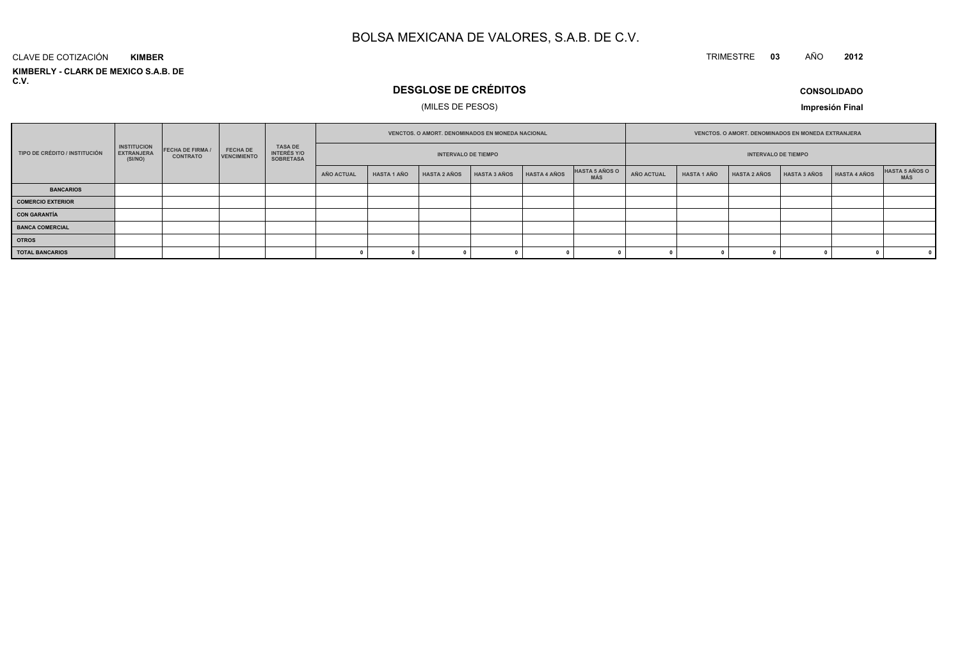#### TRIMESTRE **<sup>03</sup>** AÑO**<sup>2012</sup>**

**KIMBERLY - CLARK DE MEXICO S.A.B. DE C.V.**CLAVE DE COTIZACIÓN**KIMBER**

# **DESGLOSE DE CRÉDITOS**

### (MILES DE PESOS)

**CONSOLIDADO**

**Impresión Final**

|                               |                                                    |                                          |                                       |                                                          |            | VENCTOS, O AMORT, DENOMINADOS EN MONEDA NACIONAL<br><b>INTERVALO DE TIEMPO</b> |                     |              |              | <b>VENCTOS, O AMORT, DENOMINADOS EN MONEDA EXTRANJERA</b> |            |                    |                     |              |              |                       |
|-------------------------------|----------------------------------------------------|------------------------------------------|---------------------------------------|----------------------------------------------------------|------------|--------------------------------------------------------------------------------|---------------------|--------------|--------------|-----------------------------------------------------------|------------|--------------------|---------------------|--------------|--------------|-----------------------|
| TIPO DE CRÉDITO / INSTITUCIÓN | <b>INSTITUCION</b><br><b>EXTRANJERA</b><br>(SI/NO) | <b>FECHA DE FIRMA</b><br><b>CONTRATO</b> | <b>FECHA DE</b><br><b>VENCIMIENTO</b> | <b>TASA DE</b><br><b>INTERÉS Y/O</b><br><b>SOBRETASA</b> |            |                                                                                |                     |              |              | <b>INTERVALO DE TIEMPO</b>                                |            |                    |                     |              |              |                       |
|                               |                                                    |                                          |                                       |                                                          | AÑO ACTUAL | <b>HASTA 1 AÑO</b>                                                             | <b>HASTA 2 AÑOS</b> | HASTA 3 AÑOS | HASTA 4 AÑOS | HASTA 5 AÑOS O<br><b>MÁS</b>                              | AÑO ACTUAL | <b>HASTA 1 AÑO</b> | <b>HASTA 2 AÑOS</b> | HASTA 3 AÑOS | HASTA 4 AÑOS | HASTA 5 AÑOS O<br>MÁS |
| <b>BANCARIOS</b>              |                                                    |                                          |                                       |                                                          |            |                                                                                |                     |              |              |                                                           |            |                    |                     |              |              |                       |
| <b>COMERCIO EXTERIOR</b>      |                                                    |                                          |                                       |                                                          |            |                                                                                |                     |              |              |                                                           |            |                    |                     |              |              |                       |
| <b>CON GARANTÍA</b>           |                                                    |                                          |                                       |                                                          |            |                                                                                |                     |              |              |                                                           |            |                    |                     |              |              |                       |
| <b>BANCA COMERCIAL</b>        |                                                    |                                          |                                       |                                                          |            |                                                                                |                     |              |              |                                                           |            |                    |                     |              |              |                       |
| <b>OTROS</b>                  |                                                    |                                          |                                       |                                                          |            |                                                                                |                     |              |              |                                                           |            |                    |                     |              |              |                       |
| <b>TOTAL BANCARIOS</b>        |                                                    |                                          |                                       |                                                          |            |                                                                                |                     |              |              |                                                           |            |                    |                     |              |              | $\mathbf{0}$          |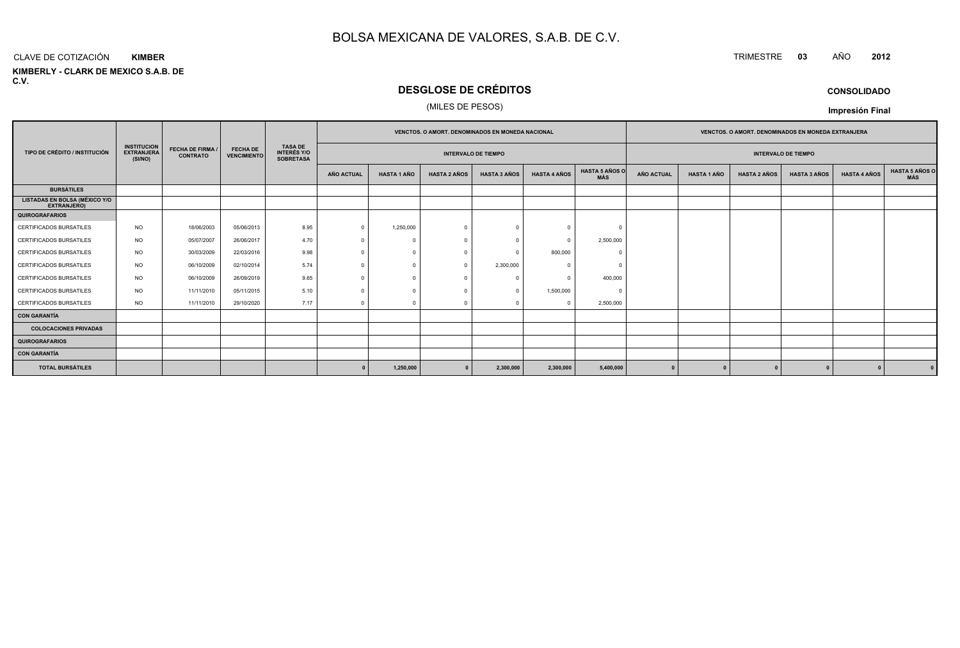#### CLAVE DE COTIZACIÓN**KIMBER**

**KIMBERLY - CLARK DE MEXICO S.A.B. DE C.V.**

# **DESGLOSE DE CRÉDITOS**

#### (MILES DE PESOS)

|                                                     |                                                                                                  |                                       |                                                          |                                                          | <b>VENCTOS, O AMORT, DENOMINADOS EN MONEDA NACIONAL</b> |                    |                     |                     |                     |                              |            | <b>VENCTOS, O AMORT, DENOMINADOS EN MONEDA EXTRANJERA</b> |                     |                     |                     |                              |
|-----------------------------------------------------|--------------------------------------------------------------------------------------------------|---------------------------------------|----------------------------------------------------------|----------------------------------------------------------|---------------------------------------------------------|--------------------|---------------------|---------------------|---------------------|------------------------------|------------|-----------------------------------------------------------|---------------------|---------------------|---------------------|------------------------------|
| TIPO DE CRÉDITO / INSTITUCIÓN                       | <b>INSTITUCION</b><br><b>FECHA DE FIRMA /</b><br><b>EXTRANJERA</b><br><b>CONTRATO</b><br>(SI/NO) | <b>FECHA DE</b><br><b>VENCIMIENTO</b> | <b>TASA DE</b><br><b>INTERÉS Y/O</b><br><b>SOBRETASA</b> | <b>INTERVALO DE TIEMPO</b><br><b>INTERVALO DE TIEMPO</b> |                                                         |                    |                     |                     |                     |                              |            |                                                           |                     |                     |                     |                              |
|                                                     |                                                                                                  |                                       |                                                          |                                                          | AÑO ACTUAL                                              | <b>HASTA 1 AÑO</b> | <b>HASTA 2 AÑOS</b> | <b>HASTA 3 AÑOS</b> | <b>HASTA 4 AÑOS</b> | <b>HASTA 5 AÑOS O</b><br>MÁS | AÑO ACTUAL | <b>HASTA 1 AÑO</b>                                        | <b>HASTA 2 AÑOS</b> | <b>HASTA 3 AÑOS</b> | <b>HASTA 4 AÑOS</b> | <b>HASTA 5 AÑOS C</b><br>MÁS |
| <b>BURSÁTILES</b>                                   |                                                                                                  |                                       |                                                          |                                                          |                                                         |                    |                     |                     |                     |                              |            |                                                           |                     |                     |                     |                              |
| <b>LISTADAS EN BOLSA (MÉXICO Y/O</b><br>EXTRANJERO) |                                                                                                  |                                       |                                                          |                                                          |                                                         |                    |                     |                     |                     |                              |            |                                                           |                     |                     |                     |                              |
| <b>QUIROGRAFARIOS</b>                               |                                                                                                  |                                       |                                                          |                                                          |                                                         |                    |                     |                     |                     |                              |            |                                                           |                     |                     |                     |                              |
| <b>CERTIFICADOS BURSATILES</b>                      | <b>NO</b>                                                                                        | 18/06/2003                            | 05/06/2013                                               | 8.95                                                     |                                                         | 1,250,000          | $\cap$              |                     | $\Omega$            |                              |            |                                                           |                     |                     |                     |                              |
| <b>CERTIFICADOS BURSATILES</b>                      | <b>NO</b>                                                                                        | 05/07/2007                            | 26/06/2017                                               | 4.70                                                     | $\Omega$                                                |                    | $\bigcap$           |                     | $\Omega$            | 2,500,000                    |            |                                                           |                     |                     |                     |                              |
| <b>CERTIFICADOS BURSATILES</b>                      | NO.                                                                                              | 30/03/2009                            | 22/03/2016                                               | 9.98                                                     | $\Omega$                                                |                    |                     |                     | 800,000             |                              |            |                                                           |                     |                     |                     |                              |
| CERTIFICADOS BURSATILES                             | <b>NO</b>                                                                                        | 06/10/2009                            | 02/10/2014                                               | 5.74                                                     |                                                         |                    |                     | 2,300,000           | $\Omega$            |                              |            |                                                           |                     |                     |                     |                              |
| <b>CERTIFICADOS BURSATILES</b>                      | <b>NO</b>                                                                                        | 06/10/2009                            | 26/09/2019                                               | 9.65                                                     | $\Omega$                                                |                    |                     |                     | $\Omega$            | 400,000                      |            |                                                           |                     |                     |                     |                              |
| CERTIFICADOS BURSATILES                             | <b>NO</b>                                                                                        | 11/11/2010                            | 05/11/2015                                               | 5.10                                                     |                                                         |                    |                     |                     | 1,500,000           | - 0                          |            |                                                           |                     |                     |                     |                              |
| <b>CERTIFICADOS BURSATILES</b>                      | <b>NO</b>                                                                                        | 11/11/2010                            | 29/10/2020                                               | 7.17                                                     | $\Omega$                                                | $\Omega$           | $\cap$              |                     | $^{\circ}$          | 2,500,000                    |            |                                                           |                     |                     |                     |                              |
| <b>CON GARANTÍA</b>                                 |                                                                                                  |                                       |                                                          |                                                          |                                                         |                    |                     |                     |                     |                              |            |                                                           |                     |                     |                     |                              |
| <b>COLOCACIONES PRIVADAS</b>                        |                                                                                                  |                                       |                                                          |                                                          |                                                         |                    |                     |                     |                     |                              |            |                                                           |                     |                     |                     |                              |
| <b>QUIROGRAFARIOS</b>                               |                                                                                                  |                                       |                                                          |                                                          |                                                         |                    |                     |                     |                     |                              |            |                                                           |                     |                     |                     |                              |
| <b>CON GARANTÍA</b>                                 |                                                                                                  |                                       |                                                          |                                                          |                                                         |                    |                     |                     |                     |                              |            |                                                           |                     |                     |                     |                              |
| <b>TOTAL BURSÁTILES</b>                             |                                                                                                  |                                       |                                                          |                                                          |                                                         | 1,250,000          |                     | 2,300,000           | 2,300,000           | 5,400,000                    |            |                                                           |                     |                     |                     |                              |

**CONSOLIDADO**

**Impresión Final**

# TRIMESTRE **<sup>03</sup>** AÑO **<sup>2012</sup>**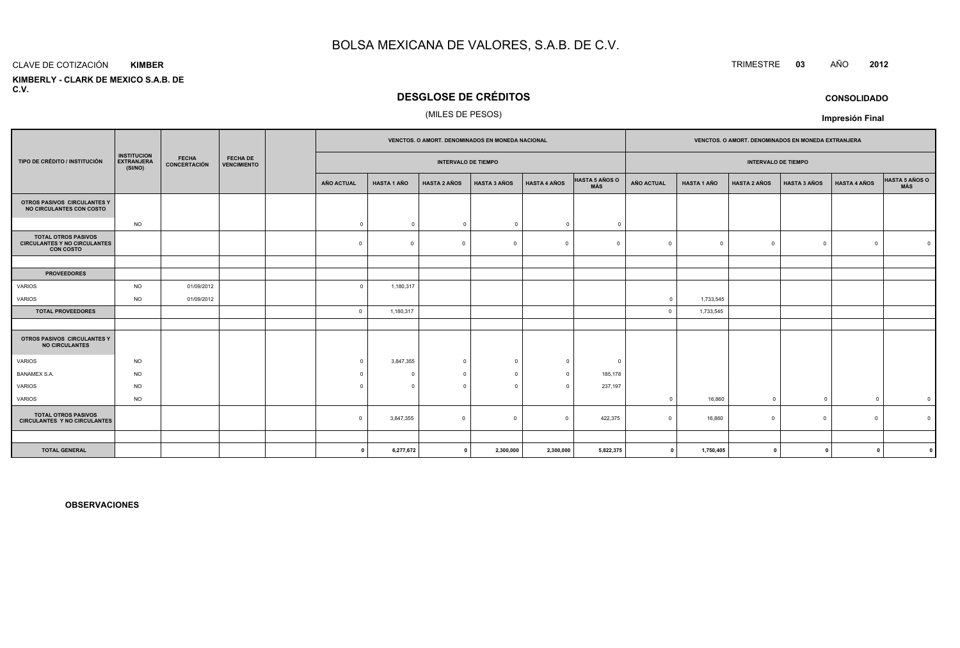#### CLAVE DE COTIZACIÓN**KIMBER**

 **KIMBERLY - CLARK DE MEXICO S.A.B. DEC.V.**

# **DESGLOSE DE CRÉDITOS**

#### (MILES DE PESOS)

|                                                                                       |                                                    |                              |                                       |                            | <b>VENCTOS, O AMORT, DENOMINADOS EN MONEDA NACIONAL</b> |                     |                     |                     |                              |                   |                    |                            | <b>VENCTOS, O AMORT, DENOMINADOS EN MONEDA EXTRANJERA</b> |                     |                |
|---------------------------------------------------------------------------------------|----------------------------------------------------|------------------------------|---------------------------------------|----------------------------|---------------------------------------------------------|---------------------|---------------------|---------------------|------------------------------|-------------------|--------------------|----------------------------|-----------------------------------------------------------|---------------------|----------------|
| TIPO DE CRÉDITO / INSTITUCIÓN                                                         | <b>INSTITUCION</b><br><b>EXTRANJERA</b><br>(SI/NO) | <b>FECHA</b><br>CONCERTACIÓN | <b>FECHA DE</b><br><b>VENCIMIENTO</b> | <b>INTERVALO DE TIEMPO</b> |                                                         |                     |                     |                     |                              |                   |                    | <b>INTERVALO DE TIEMPO</b> |                                                           |                     |                |
|                                                                                       |                                                    |                              |                                       | AÑO ACTUAL                 | <b>HASTA 1 AÑO</b>                                      | <b>HASTA 2 AÑOS</b> | <b>HASTA 3 AÑOS</b> | <b>HASTA 4 AÑOS</b> | <b>HASTA 5 AÑOS O</b><br>MÁS | <b>AÑO ACTUAL</b> | <b>HASTA 1 AÑO</b> | <b>HASTA 2 AÑOS</b>        | <b>HASTA 3 AÑOS</b>                                       | <b>HASTA 4 AÑOS</b> | HASTA 5 AÑOS O |
| OTROS PASIVOS CIRCULANTES Y<br>NO CIRCULANTES CON COSTO                               |                                                    |                              |                                       |                            |                                                         |                     |                     |                     |                              |                   |                    |                            |                                                           |                     |                |
|                                                                                       | <b>NO</b>                                          |                              |                                       | $\overline{0}$             | $\mathbf{0}$                                            | $\overline{0}$      | $\Omega$            | $\overline{0}$      | $^{\circ}$                   |                   |                    |                            |                                                           |                     |                |
| <b>TOTAL OTROS PASIVOS</b><br><b>CIRCULANTES Y NO CIRCULANTES</b><br><b>CON COSTO</b> |                                                    |                              |                                       | $\Omega$                   | $\Omega$                                                | $\overline{0}$      | $\Omega$            | $\Omega$            | $\Omega$                     | $\Omega$          | $\Omega$           | $\Omega$                   | $\circ$                                                   | $\Omega$            |                |
|                                                                                       |                                                    |                              |                                       |                            |                                                         |                     |                     |                     |                              |                   |                    |                            |                                                           |                     |                |
| <b>PROVEEDORES</b>                                                                    |                                                    |                              |                                       |                            |                                                         |                     |                     |                     |                              |                   |                    |                            |                                                           |                     |                |
| <b>VARIOS</b>                                                                         | <b>NO</b>                                          | 01/09/2012                   |                                       | $\Omega$                   | 1,180,317                                               |                     |                     |                     |                              |                   |                    |                            |                                                           |                     |                |
| VARIOS                                                                                | <b>NO</b>                                          | 01/09/2012                   |                                       |                            |                                                         |                     |                     |                     |                              | $\circ$           | 1,733,545          |                            |                                                           |                     |                |
| <b>TOTAL PROVEEDORES</b>                                                              |                                                    |                              |                                       | $\overline{0}$             | 1,180,317                                               |                     |                     |                     |                              | $\Omega$          | 1,733,545          |                            |                                                           |                     |                |
| OTROS PASIVOS CIRCULANTES Y<br><b>NO CIRCULANTES</b>                                  |                                                    |                              |                                       |                            |                                                         |                     |                     |                     |                              |                   |                    |                            |                                                           |                     |                |
| <b>VARIOS</b>                                                                         | <b>NO</b>                                          |                              |                                       | $\Omega$                   | 3,847,355                                               | $\overline{0}$      | $\cap$              | $\Omega$            | 0                            |                   |                    |                            |                                                           |                     |                |
| <b>BANAMEX S.A.</b>                                                                   | <b>NO</b>                                          |                              |                                       | $\Omega$                   |                                                         | $\Omega$            | $\Omega$            | $^{\circ}$          | 185,178                      |                   |                    |                            |                                                           |                     |                |
| <b>VARIOS</b>                                                                         | <b>NO</b>                                          |                              |                                       | $\Omega$                   | $\Omega$                                                | $\Omega$            |                     |                     | 237,197                      |                   |                    |                            |                                                           |                     |                |
| VARIOS                                                                                | <b>NO</b>                                          |                              |                                       |                            |                                                         |                     |                     |                     |                              | $\mathbf 0$       | 16,860             | $\mathbf 0$                | $\overline{0}$                                            | $^{\circ}$          | $\mathbf 0$    |
| <b>TOTAL OTROS PASIVOS</b><br><b>CIRCULANTES Y NO CIRCULANTES</b>                     |                                                    |                              |                                       | $\Omega$                   | 3,847,355                                               | $\mathbf{0}$        | $\Omega$            | $\Omega$            | 422,375                      | $\Omega$          | 16,860             | $\Omega$                   | $^{\circ}$                                                | $\Omega$            |                |
|                                                                                       |                                                    |                              |                                       |                            |                                                         |                     |                     |                     |                              |                   |                    |                            |                                                           |                     |                |
| <b>TOTAL GENERAL</b>                                                                  |                                                    |                              |                                       | 0                          | 6,277,672                                               | $\mathbf{0}$        | 2,300,000           | 2,300,000           | 5,822,375                    | $\mathbf 0$       | 1,750,405          | $\mathbf 0$                | $\mathbf{0}$                                              | n.                  |                |

**OBSERVACIONES**

# TRIMESTRE **<sup>03</sup>** AÑO **<sup>2012</sup>**

**Impresión Final**

**CONSOLIDADO**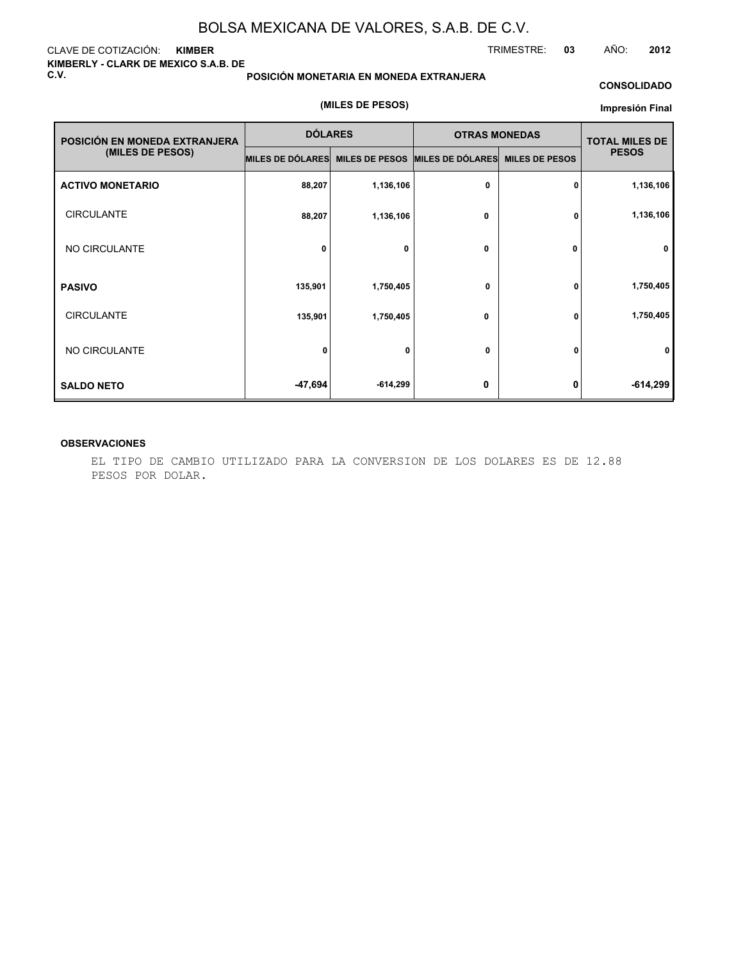#### CLAVE DE COTIZACIÓN: **KIMBER KIMBERLY - CLARK DE MEXICO S.A.B. DE C.V.**

#### **POSICIÓN MONETARIA EN MONEDA EXTRANJERA**

#### **CONSOLIDADO**

#### **(MILES DE PESOS)**

#### **Impresión Final**

| POSICIÓN EN MONEDA EXTRANJERA | <b>DÓLARES</b>   |                       | <b>OTRAS MONEDAS</b> |                       | <b>TOTAL MILES DE</b> |
|-------------------------------|------------------|-----------------------|----------------------|-----------------------|-----------------------|
| (MILES DE PESOS)              | MILES DE DÓLARES | <b>MILES DE PESOS</b> | MILES DE DÓLARES     | <b>MILES DE PESOS</b> | <b>PESOS</b>          |
| <b>ACTIVO MONETARIO</b>       | 88,207           | 1,136,106             | 0                    | 0                     | 1,136,106             |
| <b>CIRCULANTE</b>             | 88,207           | 1,136,106             | $\mathbf 0$          | 0                     | 1,136,106             |
| NO CIRCULANTE                 | 0                | 0                     | $\mathbf 0$          | 0                     | 0                     |
| <b>PASIVO</b>                 | 135,901          | 1,750,405             | $\mathbf 0$          | 0                     | 1,750,405             |
| <b>CIRCULANTE</b>             | 135,901          | 1,750,405             | $\mathbf 0$          | 0                     | 1,750,405             |
| NO CIRCULANTE                 | 0                | 0                     | 0                    | 0                     | 0                     |
| <b>SALDO NETO</b>             | -47,694          | $-614,299$            | 0                    | 0                     | $-614,299$            |

#### **OBSERVACIONES**

EL TIPO DE CAMBIO UTILIZADO PARA LA CONVERSION DE LOS DOLARES ES DE 12.88 PESOS POR DOLAR.

TRIMESTRE: **03** AÑO: **2012**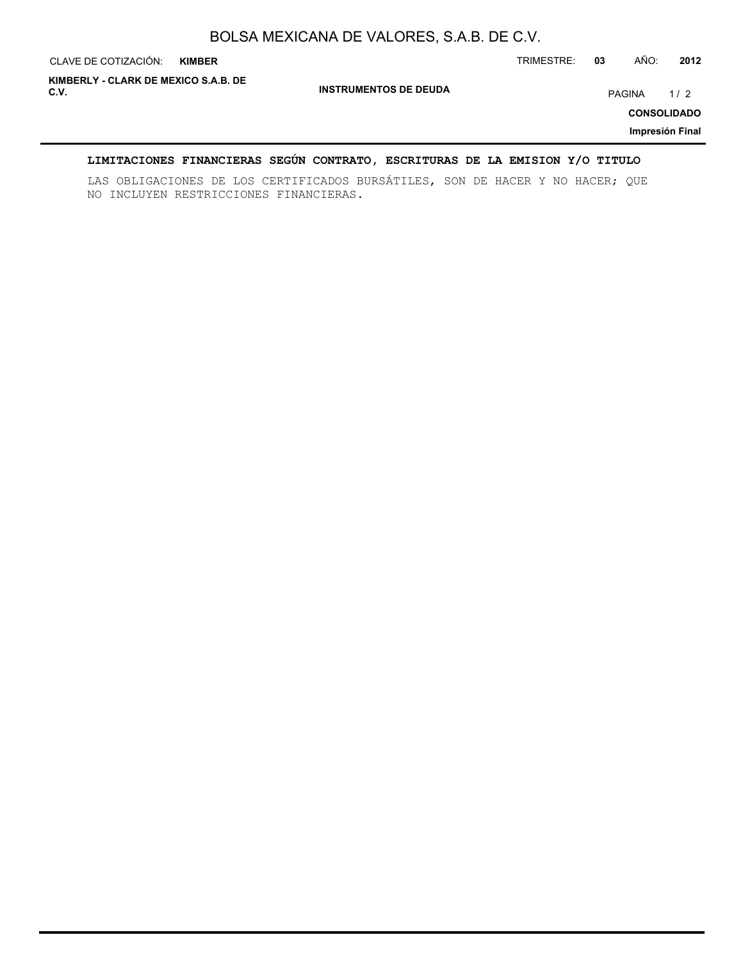| CLAVE DE COTIZACIÓN:                         | <b>KIMBER</b> |                              | TRIMESTRE: | 03 | AÑO:   | 2012                                         |
|----------------------------------------------|---------------|------------------------------|------------|----|--------|----------------------------------------------|
| KIMBERLY - CLARK DE MEXICO S.A.B. DE<br>C.V. |               | <b>INSTRUMENTOS DE DEUDA</b> |            |    | PAGINA | 1/2<br><b>CONSOLIDADO</b><br>Impresión Final |

### **LIMITACIONES FINANCIERAS SEGÚN CONTRATO, ESCRITURAS DE LA EMISION Y/O TITULO**

LAS OBLIGACIONES DE LOS CERTIFICADOS BURSÁTILES, SON DE HACER Y NO HACER; QUE NO INCLUYEN RESTRICCIONES FINANCIERAS.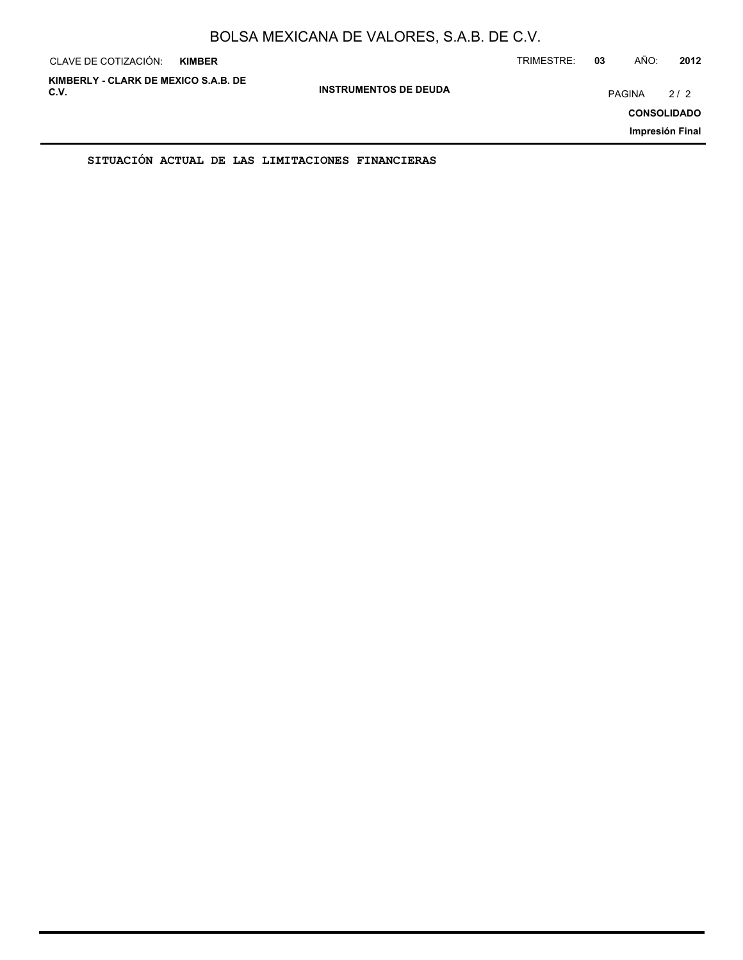| CLAVE DE COTIZACIÓN:                         | <b>KIMBER</b> |                              | TRIMESTRE: | 03            | AÑO: | 2012                                         |
|----------------------------------------------|---------------|------------------------------|------------|---------------|------|----------------------------------------------|
| KIMBERLY - CLARK DE MEXICO S.A.B. DE<br>C.V. |               | <b>INSTRUMENTOS DE DEUDA</b> |            | <b>PAGINA</b> |      | 2/2<br><b>CONSOLIDADO</b><br>Impresión Final |
|                                              |               |                              |            |               |      |                                              |

**SITUACIÓN ACTUAL DE LAS LIMITACIONES FINANCIERAS**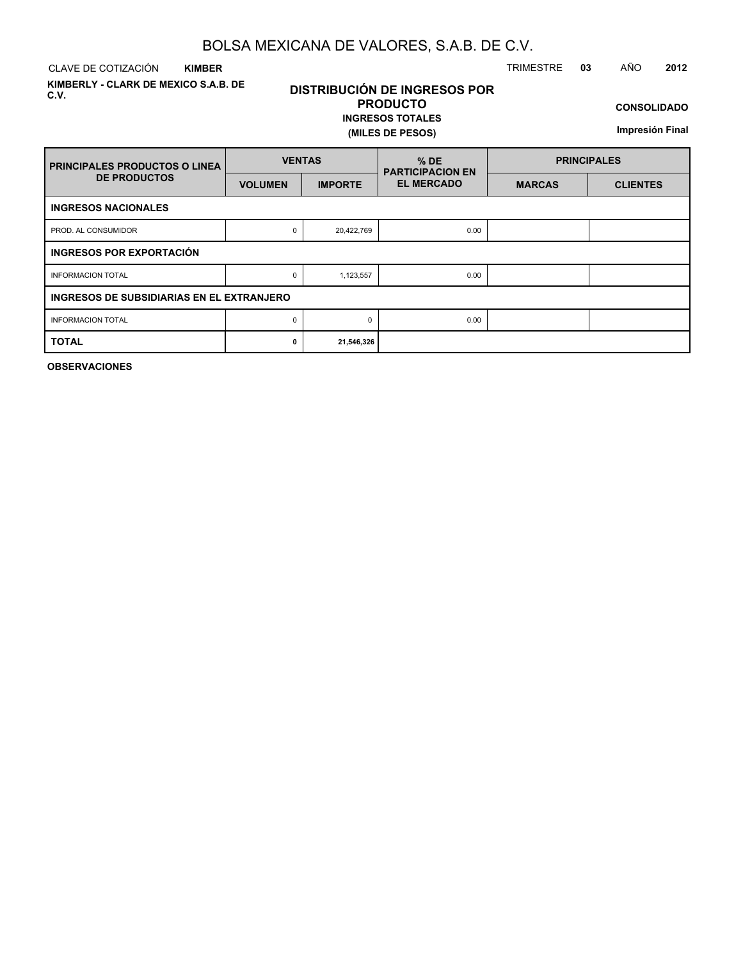CLAVE DE COTIZACIÓN TRIMESTRE **03** AÑO **2012 KIMBER**

**KIMBERLY - CLARK DE MEXICO S.A.B. DE C.V.**

# **DISTRIBUCIÓN DE INGRESOS POR PRODUCTO**

**INGRESOS TOTALES (MILES DE PESOS)**

**CONSOLIDADO**

**Impresión Final**

| <b>PRINCIPALES PRODUCTOS O LINEA</b>      | <b>VENTAS</b>  |                | $%$ DE<br><b>PARTICIPACION EN</b> | <b>PRINCIPALES</b> |                 |  |  |  |  |  |  |  |
|-------------------------------------------|----------------|----------------|-----------------------------------|--------------------|-----------------|--|--|--|--|--|--|--|
| <b>DE PRODUCTOS</b>                       | <b>VOLUMEN</b> | <b>IMPORTE</b> | <b>EL MERCADO</b>                 | <b>MARCAS</b>      | <b>CLIENTES</b> |  |  |  |  |  |  |  |
| <b>INGRESOS NACIONALES</b>                |                |                |                                   |                    |                 |  |  |  |  |  |  |  |
| PROD. AL CONSUMIDOR                       | 0              | 20,422,769     | 0.00                              |                    |                 |  |  |  |  |  |  |  |
| INGRESOS POR EXPORTACIÓN                  |                |                |                                   |                    |                 |  |  |  |  |  |  |  |
| <b>INFORMACION TOTAL</b>                  | 0              | 1,123,557      | 0.00                              |                    |                 |  |  |  |  |  |  |  |
| INGRESOS DE SUBSIDIARIAS EN EL EXTRANJERO |                |                |                                   |                    |                 |  |  |  |  |  |  |  |
| <b>INFORMACION TOTAL</b>                  | 0              | $\Omega$       | 0.00                              |                    |                 |  |  |  |  |  |  |  |
| <b>TOTAL</b>                              | 0              | 21,546,326     |                                   |                    |                 |  |  |  |  |  |  |  |

**OBSERVACIONES**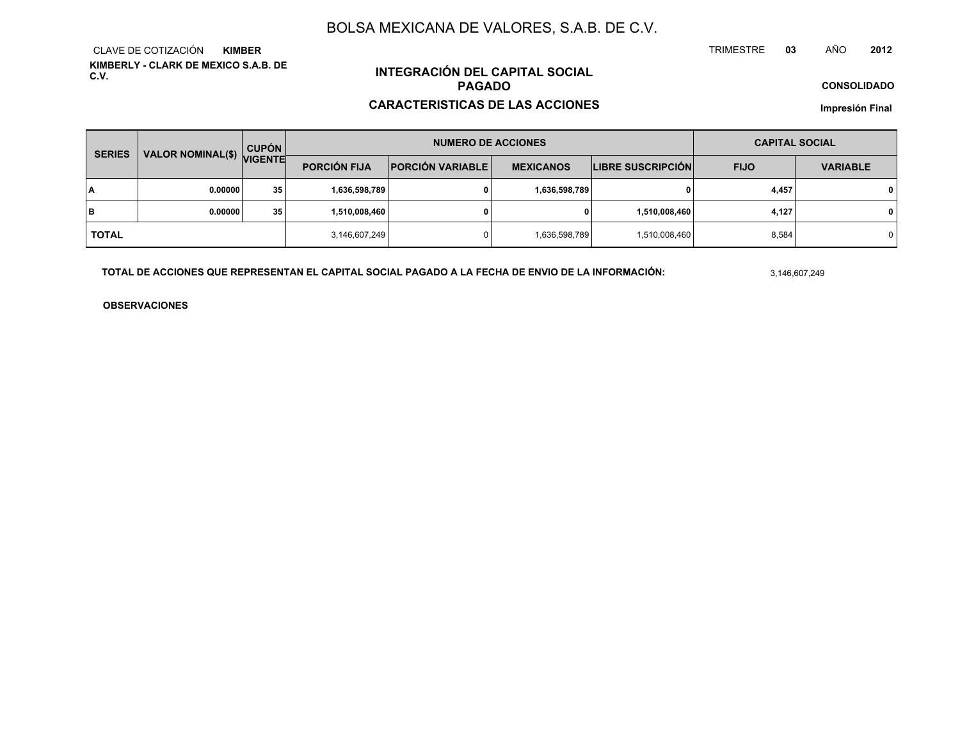**KIMBERLY - CLARK DE MEXICO S.A.B. DE C.V.**CLAVE DE COTIZACIÓN**KIMBER**

# **INTEGRACIÓN DEL CAPITAL SOCIALPAGADO**

#### **CARACTERISTICAS DE LAS ACCIONES**

**CONSOLIDADO**

**Impresión Final**

| <b>SERIES</b> |                           | <b>CUPÓN</b> |                     | <b>NUMERO DE ACCIONES</b>                   | <b>CAPITAL SOCIAL</b> |                          |             |                 |  |
|---------------|---------------------------|--------------|---------------------|---------------------------------------------|-----------------------|--------------------------|-------------|-----------------|--|
|               | VALOR NOMINAL(\$) VIGENTE |              | <b>PORCIÓN FIJA</b> | <b>PORCIÓN VARIABLE</b><br><b>MEXICANOS</b> |                       | <b>LIBRE SUSCRIPCIÓN</b> | <b>FIJO</b> | <b>VARIABLE</b> |  |
| ١A            | 0.00000                   | 35           | 1,636,598,789       |                                             | 1,636,598,789         | 0                        | 4,457       | $\mathbf{0}$    |  |
| lв            | 0.00000                   | 35           | 1,510,008,460       |                                             | 0                     | 1,510,008,460            | 4,127       | $\mathbf{0}$    |  |
| <b>TOTAL</b>  |                           |              | 3,146,607,249       |                                             | 1,636,598,789         | 1,510,008,460            | 8,584       | $\mathbf 0$     |  |

**TOTAL DE ACCIONES QUE REPRESENTAN EL CAPITAL SOCIAL PAGADO A LA FECHA DE ENVIO DE LA INFORMACIÓN:**

3,146,607,249

TRIMESTRE

**OBSERVACIONES**

 **<sup>03</sup>** AÑO**<sup>2012</sup>**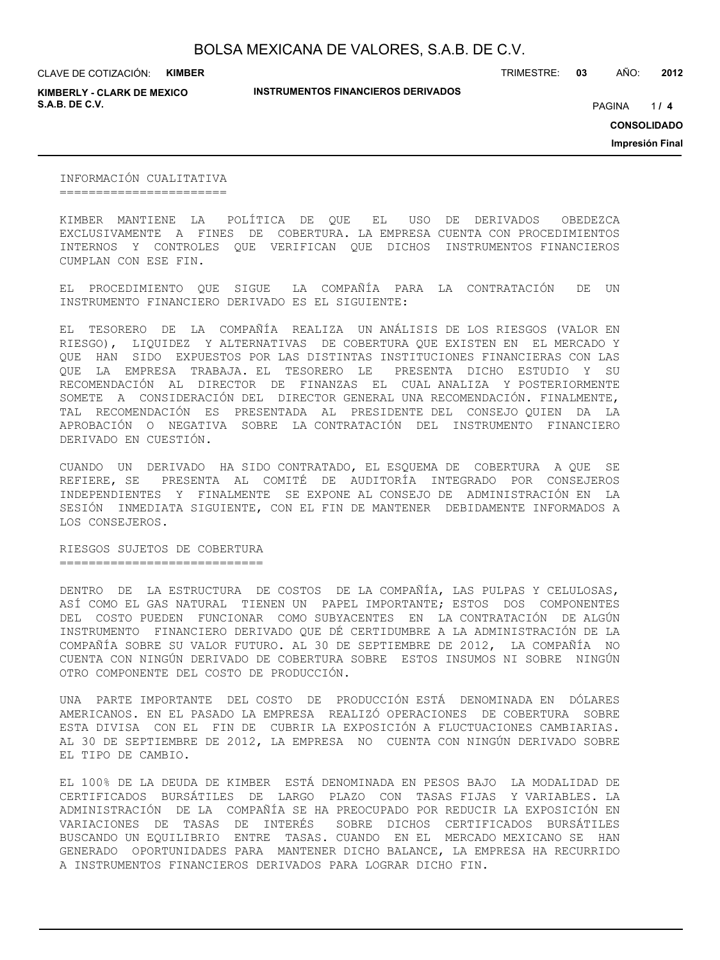CLAVE DE COTIZACIÓN: **KIMBER**

**KIMBERLY - CLARK DE MEXICO S.A.B. DE C.V.** *A* **PAGINA <b>***11* **<b>4 PAGINA** *4 PAGINA <i>4 PAGINA 4 PAGINA 4 PAGINA <i>4 PAGINA*

**INSTRUMENTOS FINANCIEROS DERIVADOS**

TRIMESTRE: **03** AÑO: **2012**

 $114$ 

**CONSOLIDADO**

**Impresión Final**

INFORMACIÓN CUALITATIVA =======================

KIMBER MANTIENE LA POLÍTICA DE QUE EL USO DE DERIVADOS OBEDEZCA EXCLUSIVAMENTE A FINES DE COBERTURA. LA EMPRESA CUENTA CON PROCEDIMIENTOS INTERNOS Y CONTROLES QUE VERIFICAN QUE DICHOS INSTRUMENTOS FINANCIEROS CUMPLAN CON ESE FIN.

EL PROCEDIMIENTO QUE SIGUE LA COMPAÑÍA PARA LA CONTRATACIÓN DE UN INSTRUMENTO FINANCIERO DERIVADO ES EL SIGUIENTE:

EL TESORERO DE LA COMPAÑÍA REALIZA UN ANÁLISIS DE LOS RIESGOS (VALOR EN RIESGO), LIQUIDEZ Y ALTERNATIVAS DE COBERTURA QUE EXISTEN EN EL MERCADO Y QUE HAN SIDO EXPUESTOS POR LAS DISTINTAS INSTITUCIONES FINANCIERAS CON LAS QUE LA EMPRESA TRABAJA. EL TESORERO LE PRESENTA DICHO ESTUDIO Y SU RECOMENDACIÓN AL DIRECTOR DE FINANZAS EL CUAL ANALIZA Y POSTERIORMENTE SOMETE A CONSIDERACIÓN DEL DIRECTOR GENERAL UNA RECOMENDACIÓN. FINALMENTE, TAL RECOMENDACIÓN ES PRESENTADA AL PRESIDENTE DEL CONSEJO QUIEN DA LA APROBACIÓN O NEGATIVA SOBRE LA CONTRATACIÓN DEL INSTRUMENTO FINANCIERO DERIVADO EN CUESTIÓN.

CUANDO UN DERIVADO HA SIDO CONTRATADO, EL ESQUEMA DE COBERTURA A QUE SE REFIERE, SE PRESENTA AL COMITÉ DE AUDITORÍA INTEGRADO POR CONSEJEROS INDEPENDIENTES Y FINALMENTE SE EXPONE AL CONSEJO DE ADMINISTRACIÓN EN LA SESIÓN INMEDIATA SIGUIENTE, CON EL FIN DE MANTENER DEBIDAMENTE INFORMADOS A LOS CONSEJEROS.

RIESGOS SUJETOS DE COBERTURA ============================

DENTRO DE LA ESTRUCTURA DE COSTOS DE LA COMPAÑÍA, LAS PULPAS Y CELULOSAS, ASÍ COMO EL GAS NATURAL TIENEN UN PAPEL IMPORTANTE; ESTOS DOS COMPONENTES DEL COSTO PUEDEN FUNCIONAR COMO SUBYACENTES EN LA CONTRATACIÓN DE ALGÚN INSTRUMENTO FINANCIERO DERIVADO QUE DÉ CERTIDUMBRE A LA ADMINISTRACIÓN DE LA COMPAÑÍA SOBRE SU VALOR FUTURO. AL 30 DE SEPTIEMBRE DE 2012, LA COMPAÑÍA NO CUENTA CON NINGÚN DERIVADO DE COBERTURA SOBRE ESTOS INSUMOS NI SOBRE NINGÚN OTRO COMPONENTE DEL COSTO DE PRODUCCIÓN.

UNA PARTE IMPORTANTE DEL COSTO DE PRODUCCIÓN ESTÁ DENOMINADA EN DÓLARES AMERICANOS. EN EL PASADO LA EMPRESA REALIZÓ OPERACIONES DE COBERTURA SOBRE ESTA DIVISA CON EL FIN DE CUBRIR LA EXPOSICIÓN A FLUCTUACIONES CAMBIARIAS. AL 30 DE SEPTIEMBRE DE 2012, LA EMPRESA NO CUENTA CON NINGÚN DERIVADO SOBRE EL TIPO DE CAMBIO.

EL 100% DE LA DEUDA DE KIMBER ESTÁ DENOMINADA EN PESOS BAJO LA MODALIDAD DE CERTIFICADOS BURSÁTILES DE LARGO PLAZO CON TASAS FIJAS Y VARIABLES. LA ADMINISTRACIÓN DE LA COMPAÑÍA SE HA PREOCUPADO POR REDUCIR LA EXPOSICIÓN EN VARIACIONES DE TASAS DE INTERÉS SOBRE DICHOS CERTIFICADOS BURSÁTILES BUSCANDO UN EQUILIBRIO ENTRE TASAS. CUANDO EN EL MERCADO MEXICANO SE HAN GENERADO OPORTUNIDADES PARA MANTENER DICHO BALANCE, LA EMPRESA HA RECURRIDO A INSTRUMENTOS FINANCIEROS DERIVADOS PARA LOGRAR DICHO FIN.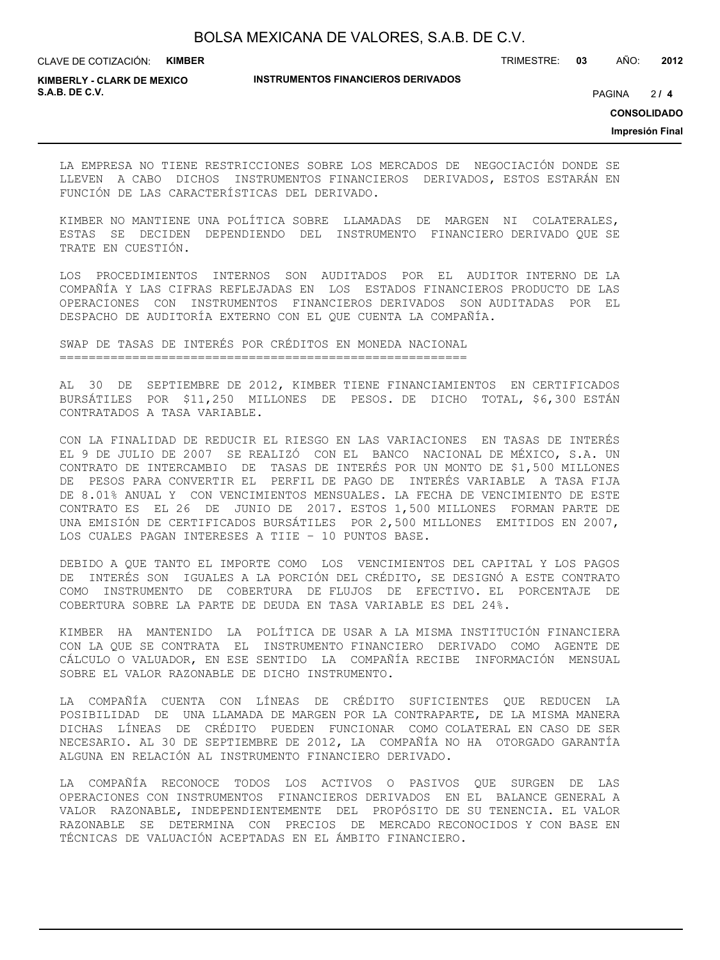CLAVE DE COTIZACIÓN: **KIMBER**

**INSTRUMENTOS FINANCIEROS DERIVADOS**

TRIMESTRE: **03** AÑO: **2012**

**KIMBERLY - CLARK DE MEXICO S.A.B. DE C.V.** PAGINA **/ 4**

 $214$ 

**CONSOLIDADO**

**Impresión Final**

LA EMPRESA NO TIENE RESTRICCIONES SOBRE LOS MERCADOS DE NEGOCIACIÓN DONDE SE LLEVEN A CABO DICHOS INSTRUMENTOS FINANCIEROS DERIVADOS, ESTOS ESTARÁN EN FUNCIÓN DE LAS CARACTERÍSTICAS DEL DERIVADO.

KIMBER NO MANTIENE UNA POLÍTICA SOBRE LLAMADAS DE MARGEN NI COLATERALES, ESTAS SE DECIDEN DEPENDIENDO DEL INSTRUMENTO FINANCIERO DERIVADO QUE SE TRATE EN CUESTIÓN.

LOS PROCEDIMIENTOS INTERNOS SON AUDITADOS POR EL AUDITOR INTERNO DE LA COMPAÑÍA Y LAS CIFRAS REFLEJADAS EN LOS ESTADOS FINANCIEROS PRODUCTO DE LAS OPERACIONES CON INSTRUMENTOS FINANCIEROS DERIVADOS SON AUDITADAS POR EL DESPACHO DE AUDITORÍA EXTERNO CON EL QUE CUENTA LA COMPAÑÍA.

SWAP DE TASAS DE INTERÉS POR CRÉDITOS EN MONEDA NACIONAL ========================================================

AL 30 DE SEPTIEMBRE DE 2012, KIMBER TIENE FINANCIAMIENTOS EN CERTIFICADOS BURSÁTILES POR \$11,250 MILLONES DE PESOS. DE DICHO TOTAL, \$6,300 ESTÁN CONTRATADOS A TASA VARIABLE.

CON LA FINALIDAD DE REDUCIR EL RIESGO EN LAS VARIACIONES EN TASAS DE INTERÉS EL 9 DE JULIO DE 2007 SE REALIZÓ CON EL BANCO NACIONAL DE MÉXICO, S.A. UN CONTRATO DE INTERCAMBIO DE TASAS DE INTERÉS POR UN MONTO DE \$1,500 MILLONES DE PESOS PARA CONVERTIR EL PERFIL DE PAGO DE INTERÉS VARIABLE A TASA FIJA DE 8.01% ANUAL Y CON VENCIMIENTOS MENSUALES. LA FECHA DE VENCIMIENTO DE ESTE CONTRATO ES EL 26 DE JUNIO DE 2017. ESTOS 1,500 MILLONES FORMAN PARTE DE UNA EMISIÓN DE CERTIFICADOS BURSÁTILES POR 2,500 MILLONES EMITIDOS EN 2007, LOS CUALES PAGAN INTERESES A TIIE – 10 PUNTOS BASE.

DEBIDO A QUE TANTO EL IMPORTE COMO LOS VENCIMIENTOS DEL CAPITAL Y LOS PAGOS DE INTERÉS SON IGUALES A LA PORCIÓN DEL CRÉDITO, SE DESIGNÓ A ESTE CONTRATO COMO INSTRUMENTO DE COBERTURA DE FLUJOS DE EFECTIVO. EL PORCENTAJE DE COBERTURA SOBRE LA PARTE DE DEUDA EN TASA VARIABLE ES DEL 24%.

KIMBER HA MANTENIDO LA POLÍTICA DE USAR A LA MISMA INSTITUCIÓN FINANCIERA CON LA QUE SE CONTRATA EL INSTRUMENTO FINANCIERO DERIVADO COMO AGENTE DE CÁLCULO O VALUADOR, EN ESE SENTIDO LA COMPAÑÍA RECIBE INFORMACIÓN MENSUAL SOBRE EL VALOR RAZONABLE DE DICHO INSTRUMENTO.

LA COMPAÑÍA CUENTA CON LÍNEAS DE CRÉDITO SUFICIENTES QUE REDUCEN LA POSIBILIDAD DE UNA LLAMADA DE MARGEN POR LA CONTRAPARTE, DE LA MISMA MANERA DICHAS LÍNEAS DE CRÉDITO PUEDEN FUNCIONAR COMO COLATERAL EN CASO DE SER NECESARIO. AL 30 DE SEPTIEMBRE DE 2012, LA COMPAÑÍA NO HA OTORGADO GARANTÍA ALGUNA EN RELACIÓN AL INSTRUMENTO FINANCIERO DERIVADO.

LA COMPAÑÍA RECONOCE TODOS LOS ACTIVOS O PASIVOS QUE SURGEN DE LAS OPERACIONES CON INSTRUMENTOS FINANCIEROS DERIVADOS EN EL BALANCE GENERAL A VALOR RAZONABLE, INDEPENDIENTEMENTE DEL PROPÓSITO DE SU TENENCIA. EL VALOR RAZONABLE SE DETERMINA CON PRECIOS DE MERCADO RECONOCIDOS Y CON BASE EN TÉCNICAS DE VALUACIÓN ACEPTADAS EN EL ÁMBITO FINANCIERO.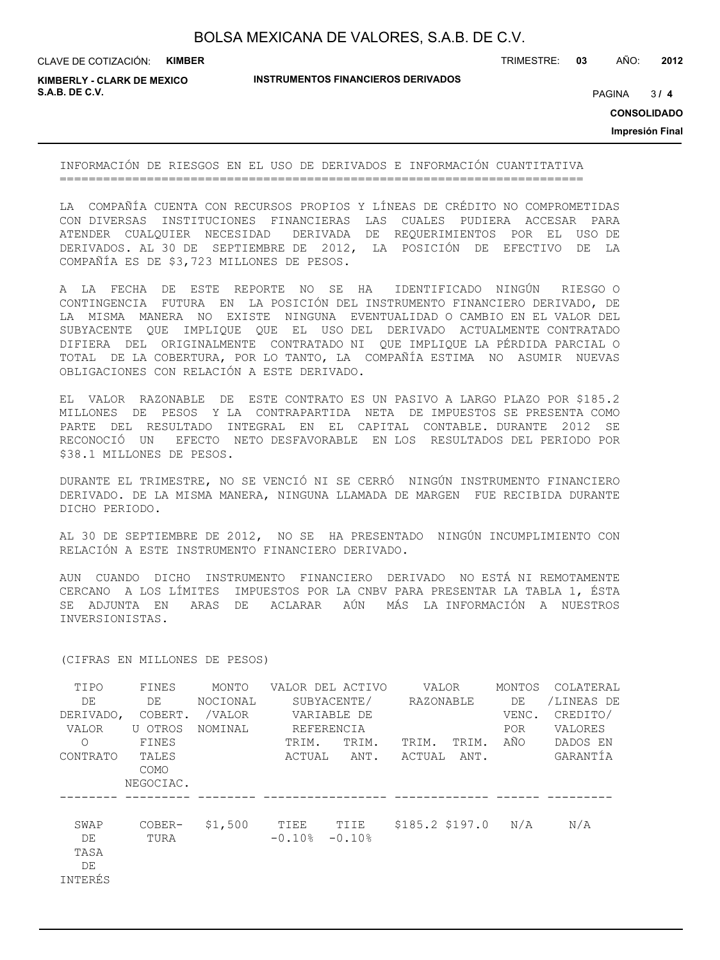CLAVE DE COTIZACIÓN: **KIMBER**

**INSTRUMENTOS FINANCIEROS DERIVADOS**

TRIMESTRE: **03** AÑO: **2012**

**KIMBERLY - CLARK DE MEXICO S.A.B. DE C.V.** PAGINA **/ 4**

 $3/4$ 

**CONSOLIDADO**

**Impresión Final**

INFORMACIÓN DE RIESGOS EN EL USO DE DERIVADOS E INFORMACIÓN CUANTITATIVA ========================================================================

LA COMPAÑÍA CUENTA CON RECURSOS PROPIOS Y LÍNEAS DE CRÉDITO NO COMPROMETIDAS CON DIVERSAS INSTITUCIONES FINANCIERAS LAS CUALES PUDIERA ACCESAR PARA ATENDER CUALQUIER NECESIDAD DERIVADA DE REQUERIMIENTOS POR EL USO DE DERIVADOS. AL 30 DE SEPTIEMBRE DE 2012, LA POSICIÓN DE EFECTIVO DE LA COMPAÑÍA ES DE \$3,723 MILLONES DE PESOS.

A LA FECHA DE ESTE REPORTE NO SE HA IDENTIFICADO NINGÚN RIESGO O CONTINGENCIA FUTURA EN LA POSICIÓN DEL INSTRUMENTO FINANCIERO DERIVADO, DE LA MISMA MANERA NO EXISTE NINGUNA EVENTUALIDAD O CAMBIO EN EL VALOR DEL SUBYACENTE QUE IMPLIQUE QUE EL USO DEL DERIVADO ACTUALMENTE CONTRATADO DIFIERA DEL ORIGINALMENTE CONTRATADO NI QUE IMPLIQUE LA PÉRDIDA PARCIAL O TOTAL DE LA COBERTURA, POR LO TANTO, LA COMPAÑÍA ESTIMA NO ASUMIR NUEVAS OBLIGACIONES CON RELACIÓN A ESTE DERIVADO.

EL VALOR RAZONABLE DE ESTE CONTRATO ES UN PASIVO A LARGO PLAZO POR \$185.2 MILLONES DE PESOS Y LA CONTRAPARTIDA NETA DE IMPUESTOS SE PRESENTA COMO PARTE DEL RESULTADO INTEGRAL EN EL CAPITAL CONTABLE. DURANTE 2012 SE RECONOCIÓ UN EFECTO NETO DESFAVORABLE EN LOS RESULTADOS DEL PERIODO POR \$38.1 MILLONES DE PESOS.

DURANTE EL TRIMESTRE, NO SE VENCIÓ NI SE CERRÓ NINGÚN INSTRUMENTO FINANCIERO DERIVADO. DE LA MISMA MANERA, NINGUNA LLAMADA DE MARGEN FUE RECIBIDA DURANTE DICHO PERIODO.

AL 30 DE SEPTIEMBRE DE 2012, NO SE HA PRESENTADO NINGÚN INCUMPLIMIENTO CON RELACIÓN A ESTE INSTRUMENTO FINANCIERO DERIVADO.

AUN CUANDO DICHO INSTRUMENTO FINANCIERO DERIVADO NO ESTÁ NI REMOTAMENTE CERCANO A LOS LÍMITES IMPUESTOS POR LA CNBV PARA PRESENTAR LA TABLA 1, ÉSTA SE ADJUNTA EN ARAS DE ACLARAR AÚN MÁS LA INFORMACIÓN A NUESTROS INVERSIONISTAS.

| TIPO<br>DE<br>DERIVADO,<br>VALOR<br>$\bigcirc$<br>CONTRATO | FINES<br>DE<br>COBERT.<br>U OTROS<br>FINES<br>TALES<br><b>COMO</b><br>NEGOCIAC. | MONTO<br>NOCIONAL<br>/VALOR<br>NOMINAL | TRIM.<br>ACTUAL  | VALOR DEL ACTIVO<br>SUBYACENTE/<br>VARIABLE DE<br>REFERENCIA<br>TRIM.<br>ANT. | VALOR<br>RAZONABLE<br>TRIM.<br>ACTUAL | TRIM.<br>ANT. | MONTOS<br>DE<br>VENC.<br><b>POR</b><br>AÑO | COLATERAL<br>/LINEAS DE<br>CREDITO/<br>VALORES<br>DADOS EN<br>GARANTÍA |
|------------------------------------------------------------|---------------------------------------------------------------------------------|----------------------------------------|------------------|-------------------------------------------------------------------------------|---------------------------------------|---------------|--------------------------------------------|------------------------------------------------------------------------|
| SWAP<br>DE<br>TASA<br>DE<br>INTERÉS                        | COBER-<br>TURA                                                                  | \$1,500                                | TIEE<br>$-0.10%$ | TIIE<br>$-0.10%$                                                              | $$185.2$ \$197.0                      |               | N/A                                        | N/A                                                                    |

(CIFRAS EN MILLONES DE PESOS)